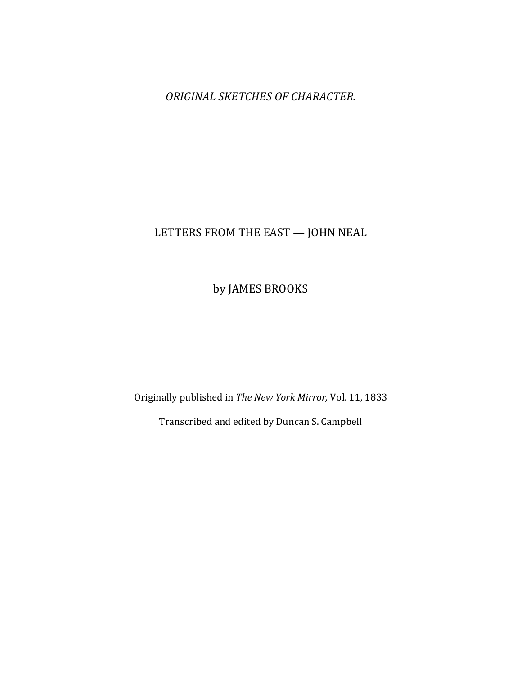**ORIGINAL SKETCHES OF CHARACTER.** 

# LETTERS FROM THE EAST  $-$  JOHN NEAL

by JAMES BROOKS

Originally published in *The New York Mirror, Vol.* 11, 1833

Transcribed and edited by Duncan S. Campbell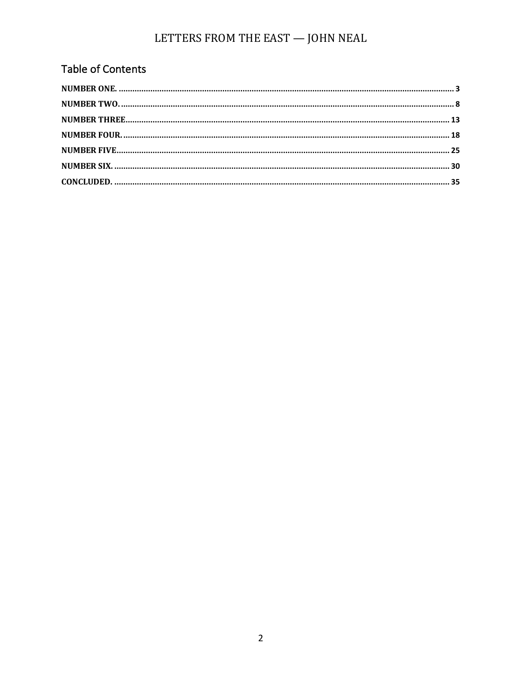# Table of Contents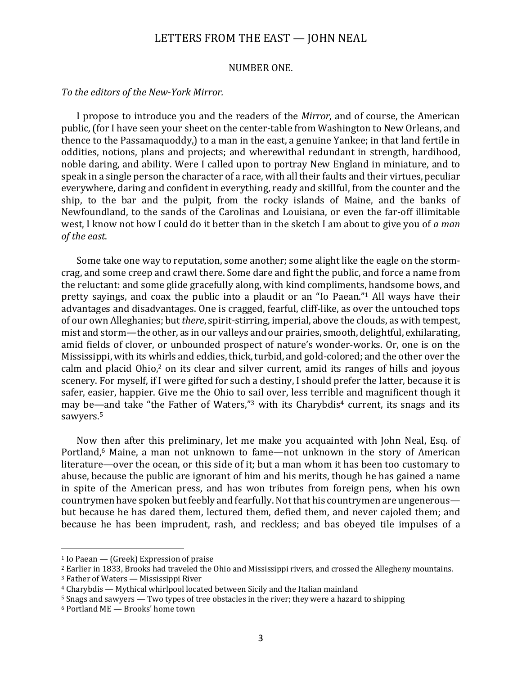#### NUMBER ONE.

#### To the editors of the New-York Mirror.

I propose to introduce you and the readers of the *Mirror*, and of course, the American public, (for I have seen your sheet on the center-table from Washington to New Orleans, and thence to the Passamaquoddy, to a man in the east, a genuine Yankee; in that land fertile in oddities, notions, plans and projects; and wherewithal redundant in strength, hardihood, noble daring, and ability. Were I called upon to portray New England in miniature, and to speak in a single person the character of a race, with all their faults and their virtues, peculiar everywhere, daring and confident in everything, ready and skillful, from the counter and the ship, to the bar and the pulpit, from the rocky islands of Maine, and the banks of Newfoundland, to the sands of the Carolinas and Louisiana, or even the far-off illimitable west, I know not how I could do it better than in the sketch I am about to give you of *a man of the east*. 

Some take one way to reputation, some another; some alight like the eagle on the stormcrag, and some creep and crawl there. Some dare and fight the public, and force a name from the reluctant: and some glide gracefully along, with kind compliments, handsome bows, and pretty sayings, and coax the public into a plaudit or an "Io Paean."<sup>1</sup> All ways have their advantages and disadvantages. One is cragged, fearful, cliff-like, as over the untouched tops of our own Alleghanies; but *there*, spirit-stirring, imperial, above the clouds, as with tempest, mist and storm—the other, as in our valleys and our prairies, smooth, delightful, exhilarating, amid fields of clover, or unbounded prospect of nature's wonder-works. Or, one is on the Mississippi, with its whirls and eddies, thick, turbid, and gold-colored; and the other over the calm and placid  $Ohio<sub>i</sub><sup>2</sup>$  on its clear and silver current, amid its ranges of hills and joyous scenery. For myself, if I were gifted for such a destiny, I should prefer the latter, because it is safer, easier, happier. Give me the Ohio to sail over, less terrible and magnificent though it may be—and take "the Father of Waters,"<sup>3</sup> with its Charybdis<sup>4</sup> current, its snags and its sawyers.<sup>5</sup>

Now then after this preliminary, let me make you acquainted with John Neal, Esq. of Portland,<sup>6</sup> Maine, a man not unknown to fame—not unknown in the story of American literature—over the ocean, or this side of it; but a man whom it has been too customary to abuse, because the public are ignorant of him and his merits, though he has gained a name in spite of the American press, and has won tributes from foreign pens, when his own countrymen have spoken but feebly and fearfully. Not that his countrymen are ungenerous but because he has dared them, lectured them, defied them, and never cajoled them; and because he has been imprudent, rash, and reckless; and bas obeyed tile impulses of a

 $1$  Io Paean — (Greek) Expression of praise

<sup>&</sup>lt;sup>2</sup> Earlier in 1833, Brooks had traveled the Ohio and Mississippi rivers, and crossed the Allegheny mountains.

 $3$  Father of Waters — Mississippi River

 $4$  Charybdis — Mythical whirlpool located between Sicily and the Italian mainland

 $5$  Snags and sawyers  $-$  Two types of tree obstacles in the river; they were a hazard to shipping

 $6$  Portland ME  $-$  Brooks' home town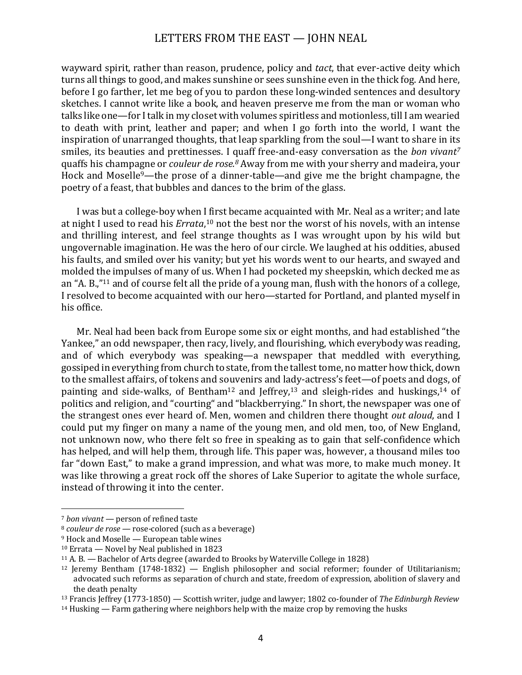wayward spirit, rather than reason, prudence, policy and *tact*, that ever-active deity which turns all things to good, and makes sunshine or sees sunshine even in the thick fog. And here, before I go farther, let me beg of you to pardon these long-winded sentences and desultory sketches. I cannot write like a book, and heaven preserve me from the man or woman who talks like one—for I talk in my closet with volumes spiritless and motionless, till I am wearied to death with print, leather and paper; and when I go forth into the world, I want the inspiration of unarranged thoughts, that leap sparkling from the soul—I want to share in its smiles, its beauties and prettinesses. I quaff free-and-easy conversation as the *bon vivant<sup>7</sup>* quaffs his champagne or *couleur de rose.<sup>8</sup>* Away from me with your sherry and madeira, your Hock and Moselle<sup>9</sup>—the prose of a dinner-table—and give me the bright champagne, the poetry of a feast, that bubbles and dances to the brim of the glass.

I was but a college-boy when I first became acquainted with Mr. Neal as a writer; and late at night I used to read his *Errata*,<sup>10</sup> not the best nor the worst of his novels, with an intense and thrilling interest, and feel strange thoughts as I was wrought upon by his wild but ungovernable imagination. He was the hero of our circle. We laughed at his oddities, abused his faults, and smiled over his vanity; but yet his words went to our hearts, and swayed and molded the impulses of many of us. When I had pocketed my sheepskin, which decked me as an "A. B.,"<sup>11</sup> and of course felt all the pride of a young man, flush with the honors of a college, I resolved to become acquainted with our hero—started for Portland, and planted myself in his office.

Mr. Neal had been back from Europe some six or eight months, and had established "the Yankee," an odd newspaper, then racy, lively, and flourishing, which everybody was reading, and of which everybody was speaking—a newspaper that meddled with everything, gossiped in everything from church to state, from the tallest tome, no matter how thick, down to the smallest affairs, of tokens and souvenirs and lady-actress's feet—of poets and dogs, of painting and side-walks, of Bentham<sup>12</sup> and Jeffrey,<sup>13</sup> and sleigh-rides and huskings,<sup>14</sup> of politics and religion, and "courting" and "blackberrying." In short, the newspaper was one of the strangest ones ever heard of. Men, women and children there thought *out aloud*, and I could put my finger on many a name of the young men, and old men, too, of New England, not unknown now, who there felt so free in speaking as to gain that self-confidence which has helped, and will help them, through life. This paper was, however, a thousand miles too far "down East," to make a grand impression, and what was more, to make much money. It was like throwing a great rock off the shores of Lake Superior to agitate the whole surface, instead of throwing it into the center.

<sup>&</sup>lt;sup>7</sup> *bon vivant* — person of refined taste

<sup>&</sup>lt;sup>8</sup> *couleur de rose* — rose-colored (such as a beverage)

 $9$  Hock and Moselle — European table wines

 $10$  Errata — Novel by Neal published in 1823

 $11$  A. B. — Bachelor of Arts degree (awarded to Brooks by Waterville College in 1828)

 $12$  Jeremy Bentham (1748-1832) — English philosopher and social reformer; founder of Utilitarianism; advocated such reforms as separation of church and state, freedom of expression, abolition of slavery and the death penalty

<sup>&</sup>lt;sup>13</sup> Francis Jeffrey (1773-1850) — Scottish writer, judge and lawyer; 1802 co-founder of *The Edinburgh Review* 

 $14$  Husking — Farm gathering where neighbors help with the maize crop by removing the husks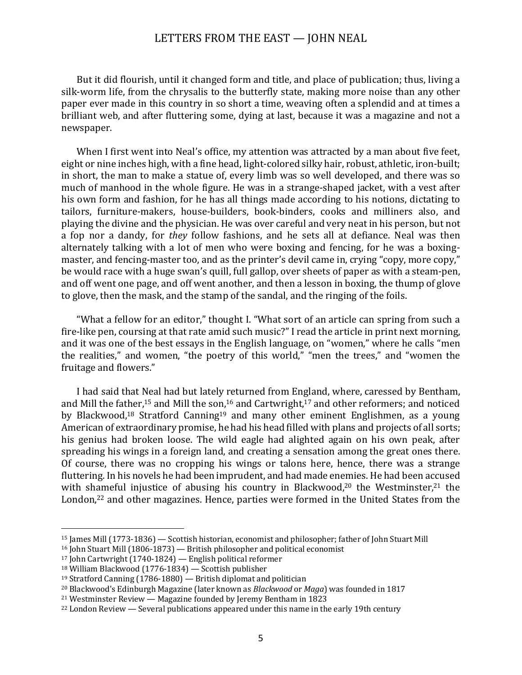But it did flourish, until it changed form and title, and place of publication; thus, living a silk-worm life, from the chrysalis to the butterfly state, making more noise than any other paper ever made in this country in so short a time, weaving often a splendid and at times a brilliant web, and after fluttering some, dying at last, because it was a magazine and not a newspaper. 

When I first went into Neal's office, my attention was attracted by a man about five feet, eight or nine inches high, with a fine head, light-colored silky hair, robust, athletic, iron-built; in short, the man to make a statue of, every limb was so well developed, and there was so much of manhood in the whole figure. He was in a strange-shaped jacket, with a vest after his own form and fashion, for he has all things made according to his notions, dictating to tailors, furniture-makers, house-builders, book-binders, cooks and milliners also, and playing the divine and the physician. He was over careful and very neat in his person, but not a fop nor a dandy, for *they* follow fashions, and he sets all at defiance. Neal was then alternately talking with a lot of men who were boxing and fencing, for he was a boxingmaster, and fencing-master too, and as the printer's devil came in, crying "copy, more copy," be would race with a huge swan's quill, full gallop, over sheets of paper as with a steam-pen, and off went one page, and off went another, and then a lesson in boxing, the thump of glove to glove, then the mask, and the stamp of the sandal, and the ringing of the foils.

"What a fellow for an editor," thought I. "What sort of an article can spring from such a fire-like pen, coursing at that rate amid such music?" I read the article in print next morning, and it was one of the best essays in the English language, on "women," where he calls "men the realities," and women, "the poetry of this world," "men the trees," and "women the fruitage and flowers."

I had said that Neal had but lately returned from England, where, caressed by Bentham, and Mill the father,<sup>15</sup> and Mill the son,<sup>16</sup> and Cartwright,<sup>17</sup> and other reformers; and noticed by Blackwood,<sup>18</sup> Stratford Canning<sup>19</sup> and many other eminent Englishmen, as a young American of extraordinary promise, he had his head filled with plans and projects of all sorts; his genius had broken loose. The wild eagle had alighted again on his own peak, after spreading his wings in a foreign land, and creating a sensation among the great ones there. Of course, there was no cropping his wings or talons here, hence, there was a strange fluttering. In his novels he had been imprudent, and had made enemies. He had been accused with shameful injustice of abusing his country in Blackwood,<sup>20</sup> the Westminster,<sup>21</sup> the London, $22$  and other magazines. Hence, parties were formed in the United States from the

<sup>&</sup>lt;sup>15</sup> James Mill (1773-1836) — Scottish historian, economist and philosopher; father of John Stuart Mill

 $^{16}$  John Stuart Mill (1806-1873) — British philosopher and political economist

 $17$  John Cartwright  $(1740-1824)$  — English political reformer

 $18$  William Blackwood (1776-1834) - Scottish publisher

 $19$  Stratford Canning (1786-1880) — British diplomat and politician

<sup>&</sup>lt;sup>20</sup> Blackwood's Edinburgh Magazine (later known as *Blackwood* or *Maga*) was founded in 1817

 $21$  Westminster Review — Magazine founded by Jeremy Bentham in 1823

 $22$  London Review  $-$  Several publications appeared under this name in the early 19th century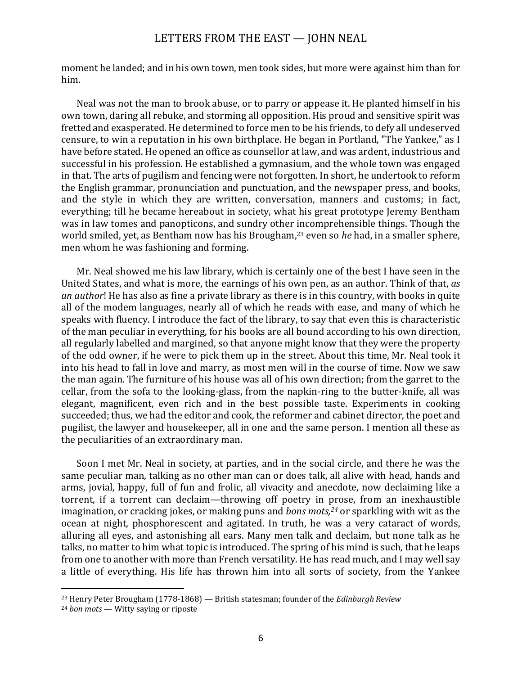moment he landed; and in his own town, men took sides, but more were against him than for him. 

Neal was not the man to brook abuse, or to parry or appease it. He planted himself in his own town, daring all rebuke, and storming all opposition. His proud and sensitive spirit was fretted and exasperated. He determined to force men to be his friends, to defy all undeserved censure, to win a reputation in his own birthplace. He began in Portland, "The Yankee," as I have before stated. He opened an office as counsellor at law, and was ardent, industrious and successful in his profession. He established a gymnasium, and the whole town was engaged in that. The arts of pugilism and fencing were not forgotten. In short, he undertook to reform the English grammar, pronunciation and punctuation, and the newspaper press, and books, and the style in which they are written, conversation, manners and customs; in fact, everything; till he became hereabout in society, what his great prototype Jeremy Bentham was in law tomes and panopticons, and sundry other incomprehensible things. Though the world smiled, vet, as Bentham now has his Brougham.<sup>23</sup> even so *he* had, in a smaller sphere, men whom he was fashioning and forming.

Mr. Neal showed me his law library, which is certainly one of the best I have seen in the United States, and what is more, the earnings of his own pen, as an author. Think of that, *as an author*! He has also as fine a private library as there is in this country, with books in quite all of the modem languages, nearly all of which he reads with ease, and many of which he speaks with fluency. I introduce the fact of the library, to say that even this is characteristic of the man peculiar in everything, for his books are all bound according to his own direction, all regularly labelled and margined, so that anyone might know that they were the property of the odd owner, if he were to pick them up in the street. About this time, Mr. Neal took it into his head to fall in love and marry, as most men will in the course of time. Now we saw the man again. The furniture of his house was all of his own direction; from the garret to the cellar, from the sofa to the looking-glass, from the napkin-ring to the butter-knife, all was elegant, magnificent, even rich and in the best possible taste. Experiments in cooking succeeded; thus, we had the editor and cook, the reformer and cabinet director, the poet and pugilist, the lawyer and housekeeper, all in one and the same person. I mention all these as the peculiarities of an extraordinary man.

Soon I met Mr. Neal in society, at parties, and in the social circle, and there he was the same peculiar man, talking as no other man can or does talk, all alive with head, hands and arms, jovial, happy, full of fun and frolic, all vivacity and anecdote, now declaiming like a torrent, if a torrent can declaim—throwing off poetry in prose, from an inexhaustible imagination, or cracking jokes, or making puns and *bons mots*,<sup>24</sup> or sparkling with wit as the ocean at night, phosphorescent and agitated. In truth, he was a very cataract of words, alluring all eves, and astonishing all ears. Many men talk and declaim, but none talk as he talks, no matter to him what topic is introduced. The spring of his mind is such, that he leaps from one to another with more than French versatility. He has read much, and I may well say a little of everything. His life has thrown him into all sorts of society, from the Yankee

<sup>&</sup>lt;sup>23</sup> Henry Peter Brougham (1778-1868) — British statesman; founder of the *Edinburgh Review* 

<sup>&</sup>lt;sup>24</sup> *bon mots* — Witty saying or riposte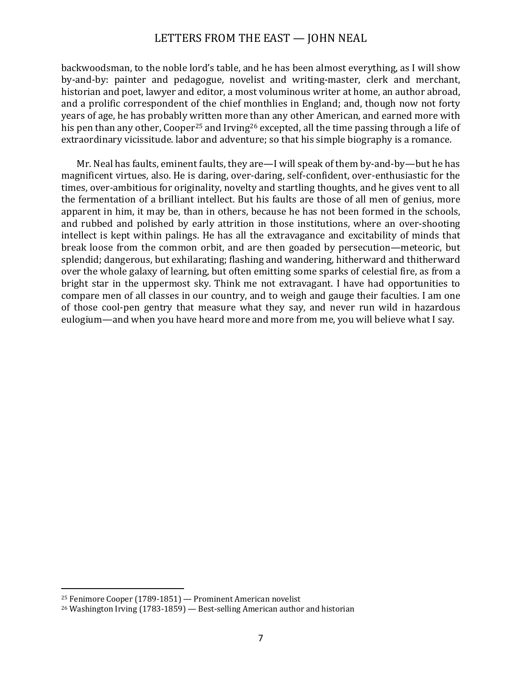backwoodsman, to the noble lord's table, and he has been almost everything, as I will show by-and-by: painter and pedagogue, novelist and writing-master, clerk and merchant, historian and poet, lawyer and editor, a most voluminous writer at home, an author abroad, and a prolific correspondent of the chief monthlies in England; and, though now not forty years of age, he has probably written more than any other American, and earned more with his pen than any other, Cooper<sup>25</sup> and Irving<sup>26</sup> excepted, all the time passing through a life of extraordinary vicissitude. labor and adventure; so that his simple biography is a romance.

Mr. Neal has faults, eminent faults, they are—I will speak of them by-and-by—but he has magnificent virtues, also. He is daring, over-daring, self-confident, over-enthusiastic for the times, over-ambitious for originality, novelty and startling thoughts, and he gives vent to all the fermentation of a brilliant intellect. But his faults are those of all men of genius, more apparent in him, it may be, than in others, because he has not been formed in the schools, and rubbed and polished by early attrition in those institutions, where an over-shooting intellect is kept within palings. He has all the extravagance and excitability of minds that break loose from the common orbit, and are then goaded by persecution—meteoric, but splendid; dangerous, but exhilarating; flashing and wandering, hitherward and thitherward over the whole galaxy of learning, but often emitting some sparks of celestial fire, as from a bright star in the uppermost sky. Think me not extravagant. I have had opportunities to compare men of all classes in our country, and to weigh and gauge their faculties. I am one of those cool-pen gentry that measure what they say, and never run wild in hazardous eulogium—and when you have heard more and more from me, you will believe what I say.

 $25$  Fenimore Cooper (1789-1851) — Prominent American novelist

 $26$  Washington Irving (1783-1859) — Best-selling American author and historian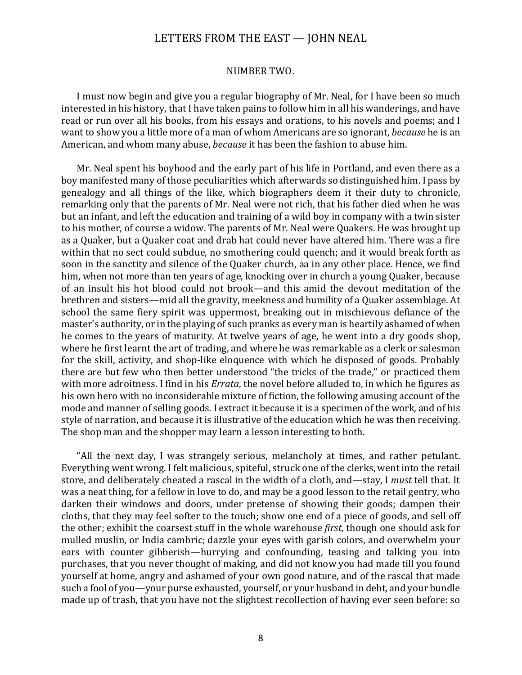#### NUMBER TWO.

I must now begin and give you a regular biography of Mr. Neal, for I have been so much interested in his history, that I have taken pains to follow him in all his wanderings, and have read or run over all his books, from his essays and orations, to his novels and poems; and I want to show you a little more of a man of whom Americans are so ignorant, *because* he is an American, and whom many abuse, *because* it has been the fashion to abuse him.

Mr. Neal spent his boyhood and the early part of his life in Portland, and even there as a boy manifested many of those peculiarities which afterwards so distinguished him. I pass by genealogy and all things of the like, which biographers deem it their duty to chronicle, remarking only that the parents of Mr. Neal were not rich, that his father died when he was but an infant, and left the education and training of a wild boy in company with a twin sister to his mother, of course a widow. The parents of Mr. Neal were Quakers. He was brought up as a Quaker, but a Quaker coat and drab hat could never have altered him. There was a fire within that no sect could subdue, no smothering could quench; and it would break forth as soon in the sanctity and silence of the Quaker church, aa in any other place. Hence, we find him, when not more than ten years of age, knocking over in church a young Quaker, because of an insult his hot blood could not brook—and this amid the devout meditation of the brethren and sisters—mid all the gravity, meekness and humility of a Quaker assemblage. At school the same fiery spirit was uppermost, breaking out in mischievous defiance of the master's authority, or in the playing of such pranks as every man is heartily ashamed of when he comes to the years of maturity. At twelve years of age, he went into a dry goods shop, where he first learnt the art of trading, and where he was remarkable as a clerk or salesman for the skill, activity, and shop-like eloquence with which he disposed of goods. Probably there are but few who then better understood "the tricks of the trade," or practiced them with more adroitness. I find in his *Errata*, the novel before alluded to, in which he figures as his own hero with no inconsiderable mixture of fiction, the following amusing account of the mode and manner of selling goods. I extract it because it is a specimen of the work, and of his style of narration, and because it is illustrative of the education which he was then receiving. The shop man and the shopper may learn a lesson interesting to both.

"All the next day, I was strangely serious, melancholy at times, and rather petulant. Everything went wrong. I felt malicious, spiteful, struck one of the clerks, went into the retail store, and deliberately cheated a rascal in the width of a cloth, and—stay, I must tell that. It was a neat thing, for a fellow in love to do, and may be a good lesson to the retail gentry, who darken their windows and doors, under pretense of showing their goods; dampen their cloths, that they may feel softer to the touch; show one end of a piece of goods, and sell off the other; exhibit the coarsest stuff in the whole warehouse *first*, though one should ask for mulled muslin, or India cambric; dazzle your eyes with garish colors, and overwhelm your ears with counter gibberish—hurrying and confounding, teasing and talking you into purchases, that you never thought of making, and did not know you had made till you found yourself at home, angry and ashamed of your own good nature, and of the rascal that made such a fool of you—your purse exhausted, yourself, or your husband in debt, and your bundle made up of trash, that you have not the slightest recollection of having ever seen before: so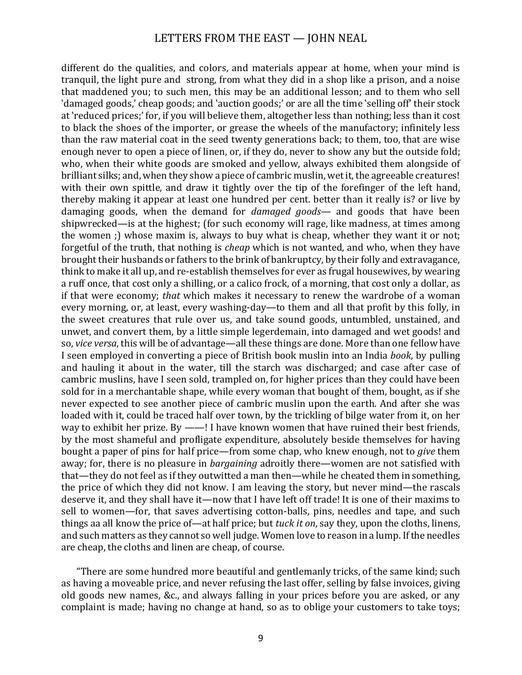different do the qualities, and colors, and materials appear at home, when your mind is tranquil, the light pure and strong, from what they did in a shop like a prison, and a noise that maddened vou; to such men, this may be an additional lesson; and to them who sell 'damaged goods,' cheap goods; and 'auction goods;' or are all the time 'selling off' their stock at 'reduced prices;' for, if you will believe them, altogether less than nothing; less than it cost to black the shoes of the importer, or grease the wheels of the manufactory; infinitely less than the raw material coat in the seed twenty generations back; to them, too, that are wise enough never to open a piece of linen, or, if they do, never to show any but the outside fold; who. when their white goods are smoked and yellow, always exhibited them alongside of brilliant silks; and, when they show a piece of cambric muslin, wet it, the agreeable creatures! with their own spittle, and draw it tightly over the tip of the forefinger of the left hand, thereby making it appear at least one hundred per cent. better than it really is? or live by damaging goods, when the demand for *damaged goods*— and goods that have been shipwrecked—is at the highest; (for such economy will rage, like madness, at times among the women ;) whose maxim is, always to buy what is cheap, whether they want it or not; forgetful of the truth, that nothing is *cheap* which is not wanted, and who, when they have brought their husbands or fathers to the brink of bankruptcy, by their folly and extravagance, think to make it all up, and re-establish themselves for ever as frugal housewives, by wearing a ruff once, that cost only a shilling, or a calico frock, of a morning, that cost only a dollar, as if that were economy; *that* which makes it necessary to renew the wardrobe of a woman every morning, or, at least, every washing-day—to them and all that profit by this folly, in the sweet creatures that rule over us, and take sound goods, untumbled, unstained, and unwet, and convert them, by a little simple legerdemain, into damaged and wet goods! and so, *vice versa*, this will be of advantage—all these things are done. More than one fellow have I seen employed in converting a piece of British book muslin into an India *book*, by pulling and hauling it about in the water, till the starch was discharged; and case after case of cambric muslins, have I seen sold, trampled on, for higher prices than they could have been sold for in a merchantable shape, while every woman that bought of them, bought, as if she never expected to see another piece of cambric muslin upon the earth. And after she was loaded with it, could be traced half over town, by the trickling of bilge water from it, on her way to exhibit her prize. By  $-\text{--}$ ! I have known women that have ruined their best friends, by the most shameful and profligate expenditure, absolutely beside themselves for having bought a paper of pins for half price—from some chap, who knew enough, not to *give* them away; for, there is no pleasure in *bargaining* adroitly there—women are not satisfied with that—they do not feel as if they outwitted a man then—while he cheated them in something, the price of which they did not know. I am leaving the story, but never mind—the rascals deserve it, and they shall have it—now that I have left off trade! It is one of their maxims to sell to women—for, that saves advertising cotton-balls, pins, needles and tape, and such things aa all know the price of—at half price; but *tuck it on*, say they, upon the cloths, linens, and such matters as they cannot so well judge. Women love to reason in a lump. If the needles are cheap, the cloths and linen are cheap, of course.

"There are some hundred more beautiful and gentlemanly tricks, of the same kind; such as having a moveable price, and never refusing the last offer, selling by false invoices, giving old goods new names, &c., and always falling in your prices before you are asked, or any complaint is made; having no change at hand, so as to oblige your customers to take toys;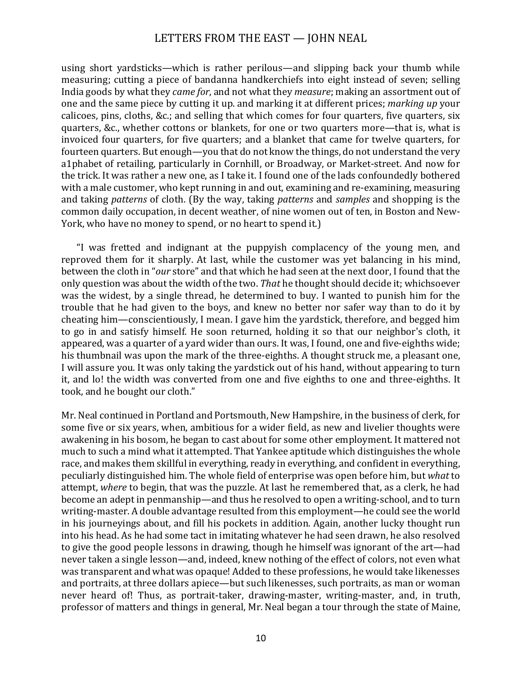using short vardsticks—which is rather perilous—and slipping back your thumb while measuring; cutting a piece of bandanna handkerchiefs into eight instead of seven; selling India goods by what they *came for*, and not what they *measure*; making an assortment out of one and the same piece by cutting it up. and marking it at different prices; *marking up* your calicoes, pins, cloths, &c.; and selling that which comes for four quarters, five quarters, six quarters, &c., whether cottons or blankets, for one or two quarters more—that is, what is invoiced four quarters, for five quarters; and a blanket that came for twelve quarters, for fourteen quarters. But enough—you that do not know the things, do not understand the very a1phabet of retailing, particularly in Cornhill, or Broadway, or Market-street. And now for the trick. It was rather a new one, as I take it. I found one of the lads confoundedly bothered with a male customer, who kept running in and out, examining and re-examining, measuring and taking *patterns* of cloth. (By the way, taking *patterns* and *samples* and shopping is the common daily occupation, in decent weather, of nine women out of ten, in Boston and New-York, who have no money to spend, or no heart to spend it.)

"I was fretted and indignant at the puppyish complacency of the young men, and reproved them for it sharply. At last, while the customer was yet balancing in his mind, between the cloth in "*our* store" and that which he had seen at the next door, I found that the only question was about the width of the two. *That* he thought should decide it; whichsoever was the widest, by a single thread, he determined to buy. I wanted to punish him for the trouble that he had given to the boys, and knew no better nor safer way than to do it by cheating him—conscientiously, I mean. I gave him the vardstick, therefore, and begged him to go in and satisfy himself. He soon returned, holding it so that our neighbor's cloth, it appeared, was a quarter of a yard wider than ours. It was, I found, one and five-eighths wide; his thumbnail was upon the mark of the three-eighths. A thought struck me, a pleasant one, I will assure you. It was only taking the yardstick out of his hand, without appearing to turn it, and lo! the width was converted from one and five eighths to one and three-eighths. It took, and he bought our cloth."

Mr. Neal continued in Portland and Portsmouth, New Hampshire, in the business of clerk, for some five or six vears, when, ambitious for a wider field, as new and livelier thoughts were awakening in his bosom, he began to cast about for some other employment. It mattered not much to such a mind what it attempted. That Yankee aptitude which distinguishes the whole race, and makes them skillful in everything, ready in everything, and confident in everything, peculiarly distinguished him. The whole field of enterprise was open before him, but *what* to attempt, where to begin, that was the puzzle. At last he remembered that, as a clerk, he had become an adept in penmanship—and thus he resolved to open a writing-school, and to turn writing-master. A double advantage resulted from this employment—he could see the world in his journeyings about, and fill his pockets in addition. Again, another lucky thought run into his head. As he had some tact in imitating whatever he had seen drawn, he also resolved to give the good people lessons in drawing, though he himself was ignorant of the art—had never taken a single lesson—and, indeed, knew nothing of the effect of colors, not even what was transparent and what was opaque! Added to these professions, he would take likenesses and portraits, at three dollars apiece—but such likenesses, such portraits, as man or woman never heard of! Thus, as portrait-taker, drawing-master, writing-master, and, in truth, professor of matters and things in general, Mr. Neal began a tour through the state of Maine,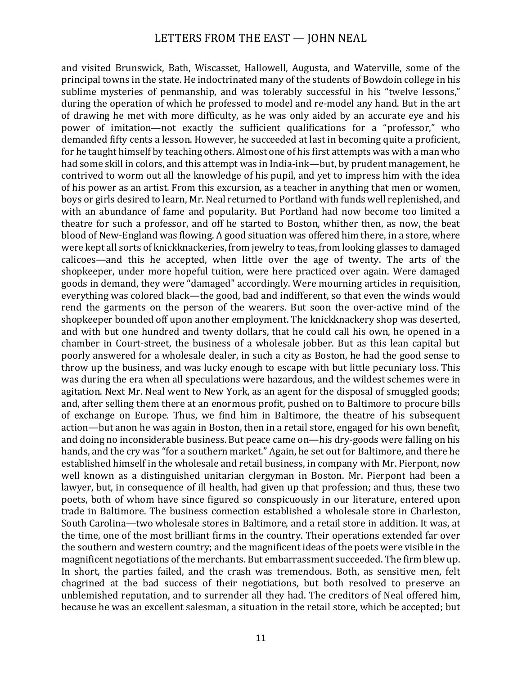and visited Brunswick, Bath, Wiscasset, Hallowell, Augusta, and Waterville, some of the principal towns in the state. He indoctrinated many of the students of Bowdoin college in his sublime mysteries of penmanship, and was tolerably successful in his "twelve lessons," during the operation of which he professed to model and re-model any hand. But in the art of drawing he met with more difficulty, as he was only aided by an accurate eye and his power of imitation—not exactly the sufficient qualifications for a "professor," who demanded fifty cents a lesson. However, he succeeded at last in becoming quite a proficient, for he taught himself by teaching others. Almost one of his first attempts was with a man who had some skill in colors, and this attempt was in India-ink—but, by prudent management, he contrived to worm out all the knowledge of his pupil, and yet to impress him with the idea of his power as an artist. From this excursion, as a teacher in anything that men or women, boys or girls desired to learn, Mr. Neal returned to Portland with funds well replenished, and with an abundance of fame and popularity. But Portland had now become too limited a theatre for such a professor, and off he started to Boston, whither then, as now, the beat blood of New-England was flowing. A good situation was offered him there, in a store, where were kept all sorts of knickknackeries, from jewelry to teas, from looking glasses to damaged calicoes—and this he accepted, when little over the age of twenty. The arts of the shopkeeper, under more hopeful tuition, were here practiced over again. Were damaged goods in demand, they were "damaged" accordingly. Were mourning articles in requisition. everything was colored black—the good, bad and indifferent, so that even the winds would rend the garments on the person of the wearers. But soon the over-active mind of the shopkeeper bounded off upon another employment. The knickknackery shop was deserted, and with but one hundred and twenty dollars, that he could call his own, he opened in a chamber in Court-street, the business of a wholesale jobber. But as this lean capital but poorly answered for a wholesale dealer, in such a city as Boston, he had the good sense to throw up the business, and was lucky enough to escape with but little pecuniary loss. This was during the era when all speculations were hazardous, and the wildest schemes were in agitation. Next Mr. Neal went to New York, as an agent for the disposal of smuggled goods; and, after selling them there at an enormous profit, pushed on to Baltimore to procure bills of exchange on Europe. Thus, we find him in Baltimore, the theatre of his subsequent action—but anon he was again in Boston, then in a retail store, engaged for his own benefit, and doing no inconsiderable business. But peace came on—his dry-goods were falling on his hands, and the cry was "for a southern market." Again, he set out for Baltimore, and there he established himself in the wholesale and retail business, in company with Mr. Pierpont, now well known as a distinguished unitarian clergyman in Boston. Mr. Pierpont had been a lawyer, but, in consequence of ill health, had given up that profession; and thus, these two poets, both of whom have since figured so conspicuously in our literature, entered upon trade in Baltimore. The business connection established a wholesale store in Charleston. South Carolina—two wholesale stores in Baltimore, and a retail store in addition. It was, at the time, one of the most brilliant firms in the country. Their operations extended far over the southern and western country; and the magnificent ideas of the poets were visible in the magnificent negotiations of the merchants. But embarrassment succeeded. The firm blew up. In short, the parties failed, and the crash was tremendous. Both, as sensitive men, felt chagrined at the bad success of their negotiations, but both resolved to preserve an unblemished reputation, and to surrender all they had. The creditors of Neal offered him, because he was an excellent salesman, a situation in the retail store, which be accepted; but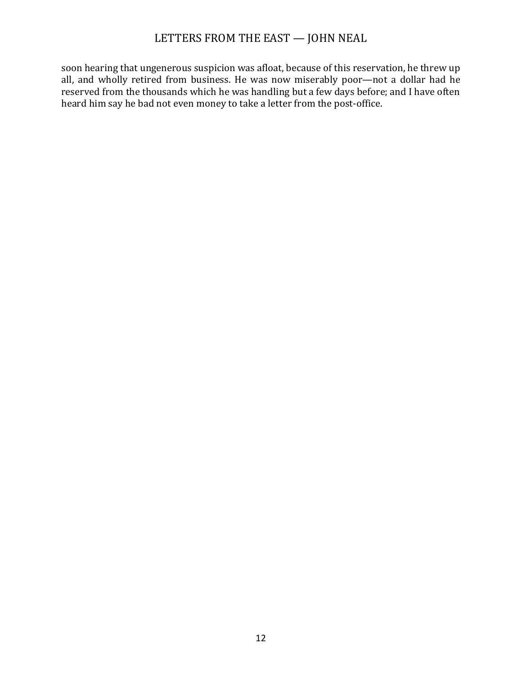soon hearing that ungenerous suspicion was afloat, because of this reservation, he threw up all, and wholly retired from business. He was now miserably poor—not a dollar had he reserved from the thousands which he was handling but a few days before; and I have often heard him say he bad not even money to take a letter from the post-office.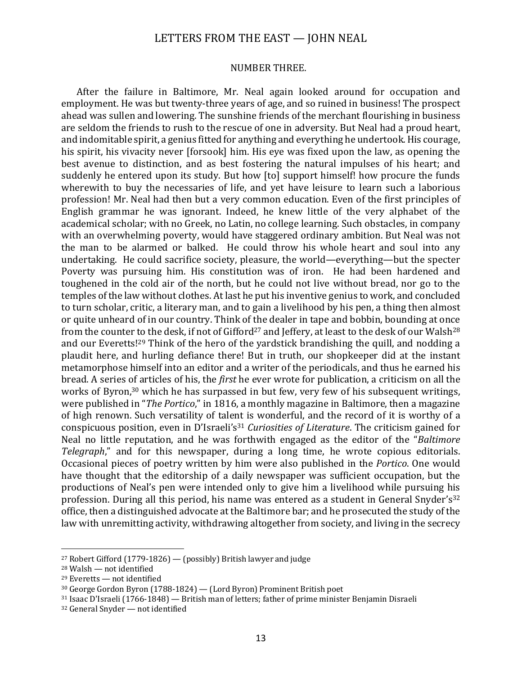#### NUMBER THREE.

After the failure in Baltimore, Mr. Neal again looked around for occupation and employment. He was but twenty-three years of age, and so ruined in business! The prospect ahead was sullen and lowering. The sunshine friends of the merchant flourishing in business are seldom the friends to rush to the rescue of one in adversity. But Neal had a proud heart, and indomitable spirit, a genius fitted for anything and everything he undertook. His courage, his spirit, his vivacity never [forsook] him. His eve was fixed upon the law, as opening the best avenue to distinction, and as best fostering the natural impulses of his heart; and suddenly he entered upon its study. But how [to] support himself! how procure the funds wherewith to buy the necessaries of life, and yet have leisure to learn such a laborious profession! Mr. Neal had then but a very common education. Even of the first principles of English grammar he was ignorant. Indeed, he knew little of the very alphabet of the academical scholar; with no Greek, no Latin, no college learning. Such obstacles, in company with an overwhelming poverty, would have staggered ordinary ambition. But Neal was not the man to be alarmed or balked. He could throw his whole heart and soul into any undertaking. He could sacrifice society, pleasure, the world—everything—but the specter Poverty was pursuing him. His constitution was of iron. He had been hardened and toughened in the cold air of the north, but he could not live without bread, nor go to the temples of the law without clothes. At last he put his inventive genius to work, and concluded to turn scholar, critic, a literary man, and to gain a livelihood by his pen, a thing then almost or quite unheard of in our country. Think of the dealer in tape and bobbin, bounding at once from the counter to the desk, if not of Gifford<sup>27</sup> and Jeffery, at least to the desk of our Walsh<sup>28</sup> and our Everetts!<sup>29</sup> Think of the hero of the yardstick brandishing the quill, and nodding a plaudit here, and hurling defiance there! But in truth, our shopkeeper did at the instant metamorphose himself into an editor and a writer of the periodicals, and thus he earned his bread. A series of articles of his, the *first* he ever wrote for publication, a criticism on all the works of Byron,<sup>30</sup> which he has surpassed in but few, very few of his subsequent writings, were published in "*The Portico*," in 1816, a monthly magazine in Baltimore, then a magazine of high renown. Such versatility of talent is wonderful, and the record of it is worthy of a conspicuous position, even in D'Israeli's<sup>31</sup> *Curiosities of Literature*. The criticism gained for Neal no little reputation, and he was forthwith engaged as the editor of the "*Baltimore Telegraph*," and for this newspaper, during a long time, he wrote copious editorials. Occasional pieces of poetry written by him were also published in the *Portico*. One would have thought that the editorship of a daily newspaper was sufficient occupation, but the productions of Neal's pen were intended only to give him a livelihood while pursuing his profession. During all this period, his name was entered as a student in General Snyder's<sup>32</sup> office, then a distinguished advocate at the Baltimore bar; and he prosecuted the study of the law with unremitting activity, withdrawing altogether from society, and living in the secrecy

<sup>&</sup>lt;sup>27</sup> Robert Gifford  $(1779-1826)$  — (possibly) British lawyer and judge

 $28$  Walsh — not identified

 $29$  Everetts — not identified

 $30$  George Gordon Byron (1788-1824) — (Lord Byron) Prominent British poet

 $31$  Isaac D'Israeli (1766-1848) — British man of letters; father of prime minister Benjamin Disraeli

 $32$  General Snyder  $-$  not identified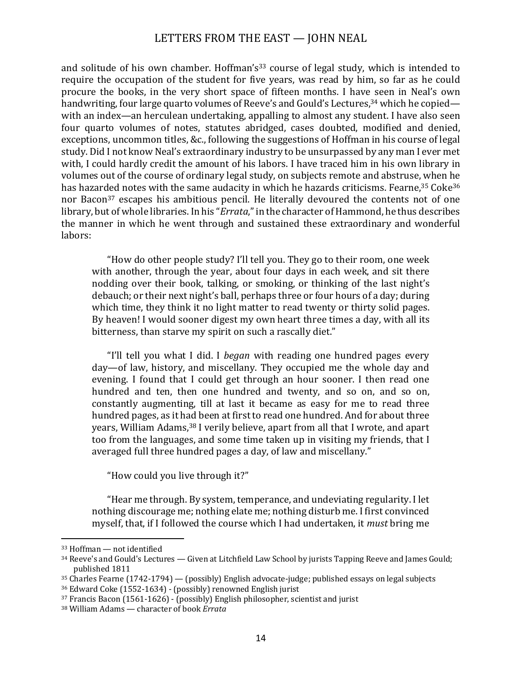and solitude of his own chamber. Hoffman's<sup>33</sup> course of legal study, which is intended to require the occupation of the student for five years, was read by him, so far as he could procure the books, in the very short space of fifteen months. I have seen in Neal's own handwriting, four large quarto volumes of Reeve's and Gould's Lectures,  $34$  which he copied with an index—an herculean undertaking, appalling to almost any student. I have also seen four quarto volumes of notes, statutes abridged, cases doubted, modified and denied, exceptions, uncommon titles, &c., following the suggestions of Hoffman in his course of legal study. Did I not know Neal's extraordinary industry to be unsurpassed by any man I ever met with, I could hardly credit the amount of his labors. I have traced him in his own library in volumes out of the course of ordinary legal study, on subjects remote and abstruse, when he has hazarded notes with the same audacity in which he hazards criticisms. Fearne, $^{35}$  Coke $^{36}$ nor Bacon<sup>37</sup> escapes his ambitious pencil. He literally devoured the contents not of one library, but of whole libraries. In his "*Errata*," in the character of Hammond, he thus describes the manner in which he went through and sustained these extraordinary and wonderful labors:

"How do other people study? I'll tell you. They go to their room, one week with another, through the year, about four days in each week, and sit there nodding over their book, talking, or smoking, or thinking of the last night's debauch; or their next night's ball, perhaps three or four hours of a day; during which time, they think it no light matter to read twenty or thirty solid pages. By heaven! I would sooner digest my own heart three times a day, with all its bitterness, than starve my spirit on such a rascally diet."

"I'll tell you what I did. I *began* with reading one hundred pages every day—of law, history, and miscellany. They occupied me the whole day and evening. I found that I could get through an hour sooner. I then read one hundred and ten, then one hundred and twenty, and so on, and so on, constantly augmenting, till at last it became as easy for me to read three hundred pages, as it had been at first to read one hundred. And for about three vears, William Adams,  $38$  I verily believe, apart from all that I wrote, and apart too from the languages, and some time taken up in visiting my friends, that I averaged full three hundred pages a day, of law and miscellany."

"How could you live through it?"

"Hear me through. By system, temperance, and undeviating regularity. I let nothing discourage me; nothing elate me; nothing disturb me. I first convinced myself, that, if I followed the course which I had undertaken, it *must* bring me

 $33$  Hoffman  $-$  not identified

 $34$  Reeve's and Gould's Lectures — Given at Litchfield Law School by jurists Tapping Reeve and James Gould; published 1811

 $35$  Charles Fearne (1742-1794) — (possibly) English advocate-judge; published essays on legal subjects

 $36$  Edward Coke (1552-1634) - (possibly) renowned English jurist

 $37$  Francis Bacon (1561-1626) - (possibly) English philosopher, scientist and jurist

<sup>38</sup> William Adams — character of book *Errata*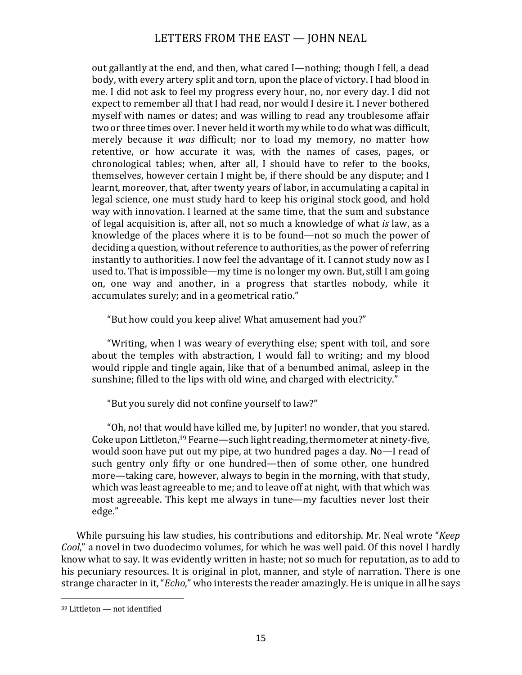out gallantly at the end, and then, what cared I—nothing; though I fell, a dead body, with every artery split and torn, upon the place of victory. I had blood in me. I did not ask to feel my progress every hour, no, nor every day. I did not expect to remember all that I had read, nor would I desire it. I never bothered myself with names or dates; and was willing to read any troublesome affair two or three times over. I never held it worth my while to do what was difficult, merely because it was difficult; nor to load my memory, no matter how retentive, or how accurate it was, with the names of cases, pages, or chronological tables; when, after all, I should have to refer to the books, themselves, however certain I might be, if there should be any dispute; and I learnt, moreover, that, after twenty years of labor, in accumulating a capital in legal science, one must study hard to keep his original stock good, and hold way with innovation. I learned at the same time, that the sum and substance of legal acquisition is, after all, not so much a knowledge of what *is* law, as a knowledge of the places where it is to be found—not so much the power of deciding a question, without reference to authorities, as the power of referring instantly to authorities. I now feel the advantage of it. I cannot study now as I used to. That is impossible—my time is no longer my own. But, still I am going on, one way and another, in a progress that startles nobody, while it accumulates surely; and in a geometrical ratio."

"But how could you keep alive! What amusement had you?"

"Writing, when I was weary of everything else; spent with toil, and sore about the temples with abstraction, I would fall to writing; and my blood would ripple and tingle again, like that of a benumbed animal, asleep in the sunshine; filled to the lips with old wine, and charged with electricity."

"But you surely did not confine yourself to law?"

"Oh, no! that would have killed me, by Jupiter! no wonder, that you stared. Coke upon Littleton,  $39$  Fearne—such light reading, thermometer at ninety-five, would soon have put out my pipe, at two hundred pages a day. No—I read of such gentry only fifty or one hundred—then of some other, one hundred more—taking care, however, always to begin in the morning, with that study, which was least agreeable to me; and to leave off at night, with that which was most agreeable. This kept me always in tune—my faculties never lost their edge."

While pursuing his law studies, his contributions and editorship. Mr. Neal wrote "*Keep Cool*," a novel in two duodecimo volumes, for which he was well paid. Of this novel I hardly know what to say. It was evidently written in haste; not so much for reputation, as to add to his pecuniary resources. It is original in plot, manner, and style of narration. There is one strange character in it, "*Echo*," who interests the reader amazingly. He is unique in all he says

 $39$  Littleton — not identified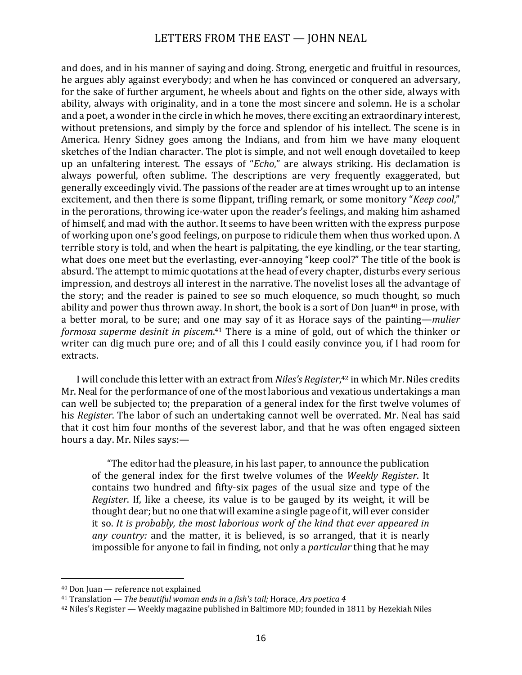and does, and in his manner of saying and doing. Strong, energetic and fruitful in resources, he argues ably against everybody; and when he has convinced or conquered an adversary, for the sake of further argument, he wheels about and fights on the other side, always with ability, always with originality, and in a tone the most sincere and solemn. He is a scholar and a poet, a wonder in the circle in which he moves, there exciting an extraordinary interest, without pretensions, and simply by the force and splendor of his intellect. The scene is in America. Henry Sidney goes among the Indians, and from him we have many eloquent sketches of the Indian character. The plot is simple, and not well enough dovetailed to keep up an unfaltering interest. The essays of "*Echo*," are always striking. His declamation is always powerful, often sublime. The descriptions are very frequently exaggerated, but generally exceedingly vivid. The passions of the reader are at times wrought up to an intense excitement, and then there is some flippant, trifling remark, or some monitory "*Keep cool*," in the perorations, throwing ice-water upon the reader's feelings, and making him ashamed of himself, and mad with the author. It seems to have been written with the express purpose of working upon one's good feelings, on purpose to ridicule them when thus worked upon. A terrible story is told, and when the heart is palpitating, the eye kindling, or the tear starting, what does one meet but the everlasting, ever-annoying "keep cool?" The title of the book is absurd. The attempt to mimic quotations at the head of every chapter, disturbs every serious impression, and destroys all interest in the narrative. The novelist loses all the advantage of the story; and the reader is pained to see so much eloquence, so much thought, so much ability and power thus thrown away. In short, the book is a sort of Don Juan<sup>40</sup> in prose, with a better moral, to be sure; and one may say of it as Horace says of the painting—*mulier* formosa superme desinit in piscem.<sup>41</sup> There is a mine of gold, out of which the thinker or writer can dig much pure ore; and of all this I could easily convince you, if I had room for extracts.

I will conclude this letter with an extract from *Niles's Register*,<sup>42</sup> in which Mr. Niles credits Mr. Neal for the performance of one of the most laborious and vexatious undertakings a man can well be subjected to; the preparation of a general index for the first twelve volumes of his *Register*. The labor of such an undertaking cannot well be overrated. Mr. Neal has said that it cost him four months of the severest labor, and that he was often engaged sixteen hours a day. Mr. Niles says:-

"The editor had the pleasure, in his last paper, to announce the publication of the general index for the first twelve volumes of the *Weekly Register*. It contains two hundred and fifty-six pages of the usual size and type of the *Register*. If, like a cheese, its value is to be gauged by its weight, it will be thought dear; but no one that will examine a single page of it, will ever consider it so. It is probably, the most laborious work of the kind that ever appeared in *any country:* and the matter, it is believed, is so arranged, that it is nearly impossible for anyone to fail in finding, not only a *particular* thing that he may

<sup>&</sup>lt;sup>40</sup> Don Juan — reference not explained

<sup>&</sup>lt;sup>41</sup> Translation — *The beautiful* woman ends in a fish's tail; Horace, Ars poetica 4

<sup>&</sup>lt;sup>42</sup> Niles's Register — Weekly magazine published in Baltimore MD; founded in 1811 by Hezekiah Niles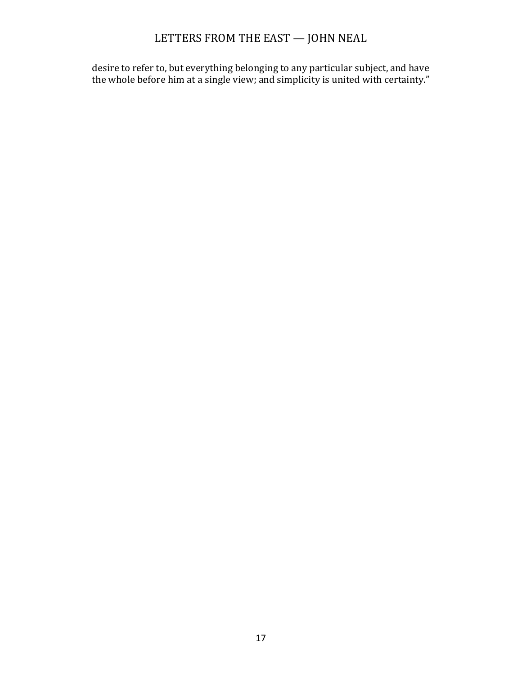desire to refer to, but everything belonging to any particular subject, and have the whole before him at a single view; and simplicity is united with certainty."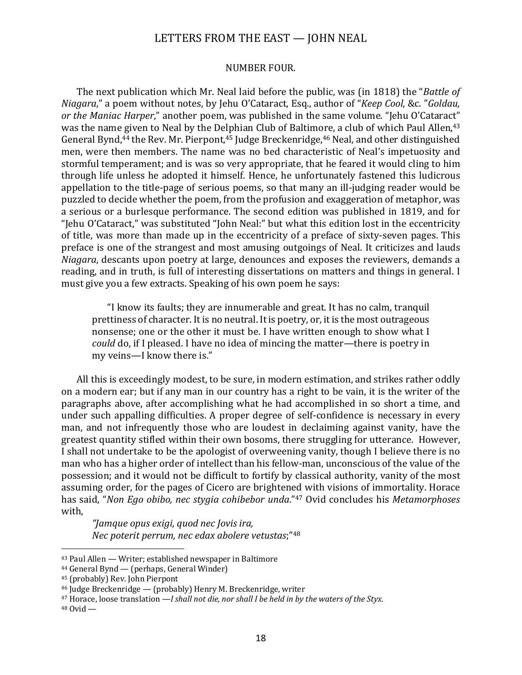#### NUMBER FOUR.

The next publication which Mr. Neal laid before the public, was (in 1818) the "*Battle of Niagara*," a poem without notes, by Jehu O'Cataract, Esq., author of "*Keep Cool*, &c. "*Goldau*, *or* the Maniac Harper," another poem, was published in the same volume. "Jehu O'Cataract" was the name given to Neal by the Delphian Club of Baltimore, a club of which Paul Allen.<sup>43</sup> General Bynd,<sup>44</sup> the Rev. Mr. Pierpont,<sup>45</sup> Judge Breckenridge,<sup>46</sup> Neal, and other distinguished men, were then members. The name was no bed characteristic of Neal's impetuosity and stormful temperament; and is was so very appropriate, that he feared it would cling to him through life unless he adopted it himself. Hence, he unfortunately fastened this ludicrous appellation to the title-page of serious poems, so that many an ill-judging reader would be puzzled to decide whether the poem, from the profusion and exaggeration of metaphor, was a serious or a burlesque performance. The second edition was published in 1819, and for "Jehu O'Cataract," was substituted "John Neal:" but what this edition lost in the eccentricity of title, was more than made up in the eccentricity of a preface of sixty-seven pages. This preface is one of the strangest and most amusing outgoings of Neal. It criticizes and lauds *Niagara*, descants upon poetry at large, denounces and exposes the reviewers, demands a reading, and in truth, is full of interesting dissertations on matters and things in general. I must give you a few extracts. Speaking of his own poem he says:

"I know its faults; they are innumerable and great. It has no calm, tranquil prettiness of character. It is no neutral. It is poetry, or, it is the most outrageous nonsense; one or the other it must be. I have written enough to show what I *could* do, if I pleased. I have no idea of mincing the matter—there is poetry in my veins-I know there is."

All this is exceedingly modest, to be sure, in modern estimation, and strikes rather oddly on a modern ear; but if any man in our country has a right to be vain, it is the writer of the paragraphs above, after accomplishing what he had accomplished in so short a time, and under such appalling difficulties. A proper degree of self-confidence is necessary in every man, and not infrequently those who are loudest in declaiming against vanity, have the greatest quantity stifled within their own bosoms, there struggling for utterance. However, I shall not undertake to be the apologist of overweening vanity, though I believe there is no man who has a higher order of intellect than his fellow-man, unconscious of the value of the possession; and it would not be difficult to fortify by classical authority, vanity of the most assuming order, for the pages of Cicero are brightened with visions of immortality. Horace has said, "*Non Ego obibo, nec stygia cohibebor unda*."<sup>47</sup> Ovid concludes his *Metamorphoses* with, 

*"Jamque opus exigi, quod nec Jovis ira, Nec poterit perrum, nec edax abolere vetustas*;"<sup>48</sup>

<sup>&</sup>lt;sup>43</sup> Paul Allen — Writer; established newspaper in Baltimore

 $44$  General Bynd — (perhaps, General Winder)

<sup>&</sup>lt;sup>45</sup> (probably) Rev. John Pierpont

 $46$  Judge Breckenridge — (probably) Henry M. Breckenridge, writer

<sup>&</sup>lt;sup>47</sup> Horace, loose translation —*I* shall not die, nor shall I be held in by the waters of the Styx.

 $48$  Ovid —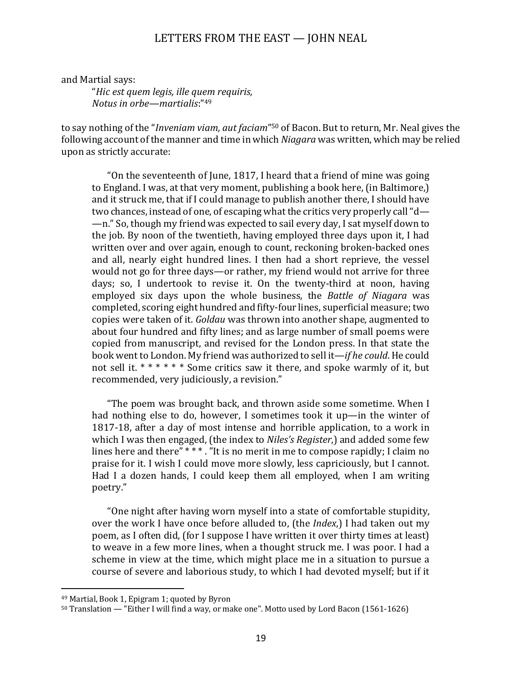and Martial says:

"*Hic est quem legis, ille quem requiris, Notus* in orbe—martialis:"<sup>49</sup>

to say nothing of the "*Inveniam viam, aut faciam*"<sup>50</sup> of Bacon. But to return, Mr. Neal gives the following account of the manner and time in which *Niagara* was written, which may be relied upon as strictly accurate:

"On the seventeenth of June, 1817, I heard that a friend of mine was going to England. I was, at that very moment, publishing a book here, (in Baltimore,) and it struck me, that if I could manage to publish another there, I should have two chances, instead of one, of escaping what the critics very properly call " $d-$ —n." So, though my friend was expected to sail every day, I sat myself down to the job. By noon of the twentieth, having employed three days upon it, I had written over and over again, enough to count, reckoning broken-backed ones and all, nearly eight hundred lines. I then had a short reprieve, the vessel would not go for three days—or rather, my friend would not arrive for three days; so, I undertook to revise it. On the twenty-third at noon, having employed six days upon the whole business, the *Battle of Niagara* was completed, scoring eight hundred and fifty-four lines, superficial measure; two copies were taken of it. *Goldau* was thrown into another shape, augmented to about four hundred and fifty lines; and as large number of small poems were copied from manuscript, and revised for the London press. In that state the book went to London. My friend was authorized to sell it—*if he could*. He could not sell it.  $***$  \* \* \* Some critics saw it there, and spoke warmly of it, but recommended, very judiciously, a revision."

"The poem was brought back, and thrown aside some sometime. When I had nothing else to do, however, I sometimes took it up—in the winter of 1817-18, after a day of most intense and horrible application, to a work in which I was then engaged, (the index to *Niles's Register*,) and added some few lines here and there"  $***$ . "It is no merit in me to compose rapidly; I claim no praise for it. I wish I could move more slowly, less capriciously, but I cannot. Had I a dozen hands, I could keep them all employed, when I am writing poetry."

"One night after having worn myself into a state of comfortable stupidity, over the work I have once before alluded to, (the *Index*,) I had taken out my poem, as I often did, (for I suppose I have written it over thirty times at least) to weave in a few more lines, when a thought struck me. I was poor. I had a scheme in view at the time, which might place me in a situation to pursue a course of severe and laborious study, to which I had devoted myself; but if it

<sup>&</sup>lt;sup>49</sup> Martial, Book 1, Epigram 1; quoted by Byron

<sup>50</sup> Translation — "Either I will find a way, or make one". Motto used by Lord Bacon (1561-1626)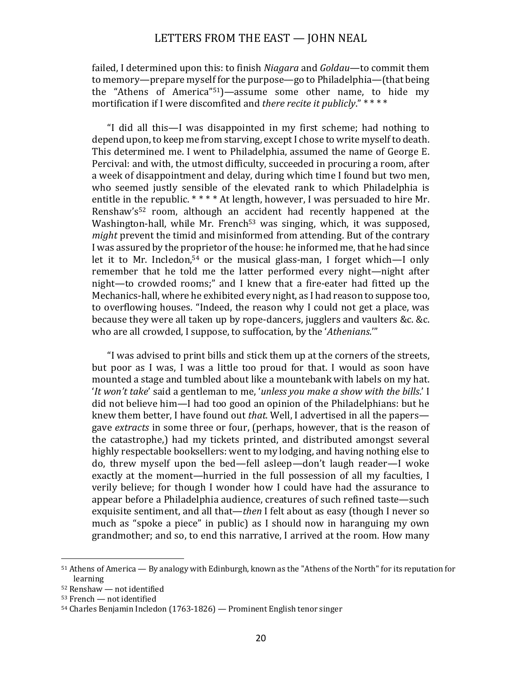failed, I determined upon this: to finish *Niagara* and *Goldau*—to commit them to memory—prepare myself for the purpose—go to Philadelphia—(that being the "Athens of America"<sup>51</sup>)—assume some other name, to hide my mortification if I were discomfited and *there recite it publicly*." \* \* \* \*

"I did all this—I was disappointed in my first scheme; had nothing to depend upon, to keep me from starving, except I chose to write myself to death. This determined me. I went to Philadelphia, assumed the name of George E. Percival: and with, the utmost difficulty, succeeded in procuring a room, after a week of disappointment and delay, during which time I found but two men, who seemed justly sensible of the elevated rank to which Philadelphia is entitle in the republic.  $****$  At length, however, I was persuaded to hire Mr. Renshaw's<sup>52</sup> room, although an accident had recently happened at the Washington-hall, while Mr. French<sup>53</sup> was singing, which, it was supposed, *might* prevent the timid and misinformed from attending. But of the contrary I was assured by the proprietor of the house: he informed me, that he had since let it to Mr. Incledon,<sup>54</sup> or the musical glass-man, I forget which—I only remember that he told me the latter performed every night—night after night-to crowded rooms;" and I knew that a fire-eater had fitted up the Mechanics-hall, where he exhibited every night, as I had reason to suppose too, to overflowing houses. "Indeed, the reason why I could not get a place, was because they were all taken up by rope-dancers, jugglers and vaulters &c. &c. who are all crowded, I suppose, to suffocation, by the 'Athenians.'"

"I was advised to print bills and stick them up at the corners of the streets, but poor as I was, I was a little too proud for that. I would as soon have mounted a stage and tumbled about like a mountebank with labels on my hat. '*It* won't take' said a gentleman to me, '*unless you make a show with the bills*.' I did not believe him—I had too good an opinion of the Philadelphians: but he knew them better, I have found out *that*. Well, I advertised in all the papers gave *extracts* in some three or four, (perhaps, however, that is the reason of the catastrophe,) had my tickets printed, and distributed amongst several highly respectable booksellers: went to my lodging, and having nothing else to do, threw myself upon the bed—fell asleep—don't laugh reader—I woke exactly at the moment—hurried in the full possession of all my faculties, I verily believe; for though I wonder how I could have had the assurance to appear before a Philadelphia audience, creatures of such refined taste—such exquisite sentiment, and all that—*then* I felt about as easy (though I never so much as "spoke a piece" in public) as I should now in haranguing my own grandmother; and so, to end this narrative. I arrived at the room. How many

 $51$  Athens of America — By analogy with Edinburgh, known as the "Athens of the North" for its reputation for learning

 $52$  Renshaw — not identified

 $53$  French — not identified

 $54$  Charles Benjamin Incledon (1763-1826) — Prominent English tenor singer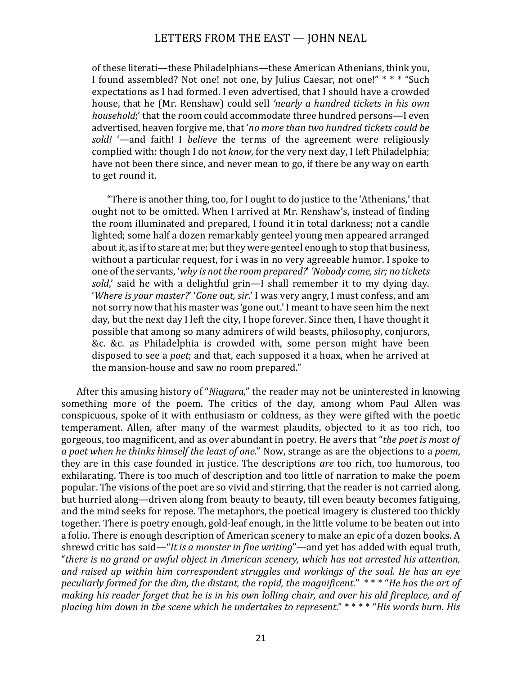of these literati—these Philadelphians—these American Athenians, think you, I found assembled? Not one! not one, by Julius Caesar, not one!" \* \* \* "Such expectations as I had formed. I even advertised, that I should have a crowded house, that he (Mr. Renshaw) could sell *'nearly a hundred tickets in his own household*;' that the room could accommodate three hundred persons—I even advertised, heaven forgive me, that 'no more than two hundred tickets could be sold! '—and faith! I *believe* the terms of the agreement were religiously complied with: though I do not *know*, for the very next day, I left Philadelphia; have not been there since, and never mean to go, if there be any way on earth to get round it.

"There is another thing, too, for I ought to do justice to the 'Athenians,' that ought not to be omitted. When I arrived at Mr. Renshaw's, instead of finding the room illuminated and prepared, I found it in total darkness; not a candle lighted; some half a dozen remarkably genteel young men appeared arranged about it, as if to stare at me; but they were genteel enough to stop that business, without a particular request, for i was in no very agreeable humor. I spoke to one of the servants, 'why is not the room prepared?' 'Nobody come, sir; no tickets sold,' said he with a delightful grin—I shall remember it to my dying day. '*Where is your master?'* '*Gone out, sir*.' I was very angry, I must confess, and am not sorry now that his master was 'gone out.' I meant to have seen him the next day, but the next day I left the city, I hope forever. Since then, I have thought it possible that among so many admirers of wild beasts, philosophy, conjurors, &c. &c. as Philadelphia is crowded with, some person might have been disposed to see a *poet*; and that, each supposed it a hoax, when he arrived at the mansion-house and saw no room prepared."

After this amusing history of "*Niagara*," the reader may not be uninterested in knowing something more of the poem. The critics of the day, among whom Paul Allen was conspicuous, spoke of it with enthusiasm or coldness, as they were gifted with the poetic temperament. Allen, after many of the warmest plaudits, objected to it as too rich, too gorgeous, too magnificent, and as over abundant in poetry. He avers that "*the poet is most of a poet when he thinks himself the least of one.*" Now, strange as are the objections to a *poem*, they are in this case founded in justice. The descriptions *are* too rich, too humorous, too exhilarating. There is too much of description and too little of narration to make the poem popular. The visions of the poet are so vivid and stirring, that the reader is not carried along, but hurried along—driven along from beauty to beauty, till even beauty becomes fatiguing, and the mind seeks for repose. The metaphors, the poetical imagery is clustered too thickly together. There is poetry enough, gold-leaf enough, in the little volume to be beaten out into a folio. There is enough description of American scenery to make an epic of a dozen books. A shrewd critic has said—"*It is a monster in fine writing*"—and yet has added with equal truth, "*there is no grand or awful object in American scenery, which has not arrested his attention,* and raised up within him correspondent struggles and workings of the soul. He has an eye *peculiarly formed for the dim, the distant, the rapid, the magnificent.*" \*\*\* "*He has the art of making his reader forget that he is in his own lolling chair, and over his old fireplace, and of placing him down in the scene which he undertakes to represent."* \* \* \* \* "*His words burn. His*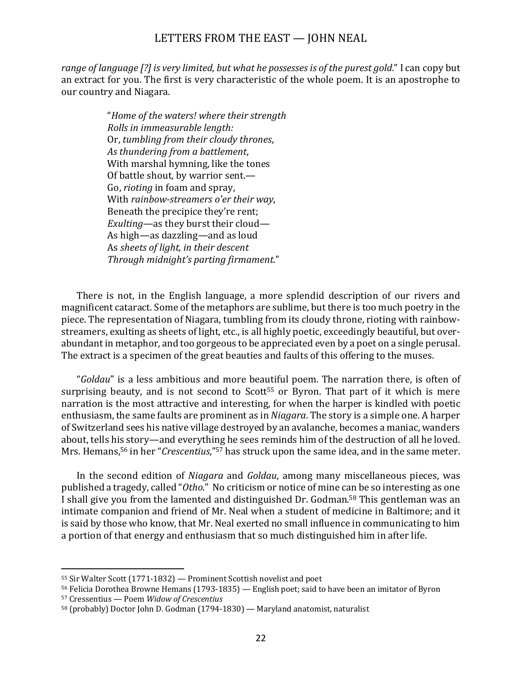range of language  $[?]$  is very limited, but what he possesses is of the purest gold." I can copy but an extract for you. The first is very characteristic of the whole poem. It is an apostrophe to our country and Niagara.

> "*Home of the waters! where their strength Rolls in immeasurable lenath:* Or, tumbling from their cloudy thrones, *As thundering from a battlement*, With marshal hymning, like the tones Of battle shout, by warrior sent.-Go, *rioting* in foam and spray, With *rainbow-streamers o'er their way*, Beneath the precipice they're rent; *Exulting*—as they burst their cloud— As high—as dazzling—and as loud As *sheets of light, in their descent Through midnight's parting firmament*."

There is not, in the English language, a more splendid description of our rivers and magnificent cataract. Some of the metaphors are sublime, but there is too much poetry in the piece. The representation of Niagara, tumbling from its cloudy throne, rioting with rainbowstreamers, exulting as sheets of light, etc., is all highly poetic, exceedingly beautiful, but overabundant in metaphor, and too gorgeous to be appreciated even by a poet on a single perusal. The extract is a specimen of the great beauties and faults of this offering to the muses.

"*Goldau*" is a less ambitious and more beautiful poem. The narration there, is often of surprising beauty, and is not second to Scott<sup>55</sup> or Byron. That part of it which is mere narration is the most attractive and interesting, for when the harper is kindled with poetic enthusiasm, the same faults are prominent as in *Niagara*. The story is a simple one. A harper of Switzerland sees his native village destroyed by an avalanche, becomes a maniac, wanders about, tells his story—and everything he sees reminds him of the destruction of all he loved. Mrs. Hemans,<sup>56</sup> in her "*Crescentius*,"<sup>57</sup> has struck upon the same idea, and in the same meter.

In the second edition of *Niagara* and *Goldau*, among many miscellaneous pieces, was published a tragedy, called "*Otho*." No criticism or notice of mine can be so interesting as one I shall give you from the lamented and distinguished Dr. Godman.<sup>58</sup> This gentleman was an intimate companion and friend of Mr. Neal when a student of medicine in Baltimore; and it is said by those who know, that Mr. Neal exerted no small influence in communicating to him a portion of that energy and enthusiasm that so much distinguished him in after life.

<sup>56</sup> Felicia Dorothea Browne Hemans (1793-1835) — English poet; said to have been an imitator of Byron

 $55$  Sir Walter Scott (1771-1832) — Prominent Scottish novelist and poet

<sup>57</sup> Cressentius — Poem *Widow of Crescentius*

 $58$  (probably) Doctor John D. Godman (1794-1830) — Maryland anatomist, naturalist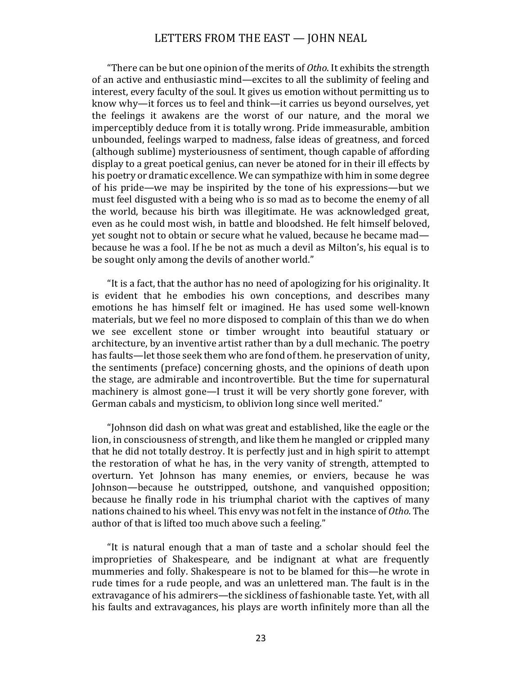"There can be but one opinion of the merits of *Otho*. It exhibits the strength of an active and enthusiastic mind—excites to all the sublimity of feeling and interest, every faculty of the soul. It gives us emotion without permitting us to know why—it forces us to feel and think—it carries us beyond ourselves, yet the feelings it awakens are the worst of our nature, and the moral we imperceptibly deduce from it is totally wrong. Pride immeasurable, ambition unbounded, feelings warped to madness, false ideas of greatness, and forced (although sublime) mysteriousness of sentiment, though capable of affording display to a great poetical genius, can never be atoned for in their ill effects by his poetry or dramatic excellence. We can sympathize with him in some degree of his pride—we may be inspirited by the tone of his expressions—but we must feel disgusted with a being who is so mad as to become the enemy of all the world, because his birth was illegitimate. He was acknowledged great, even as he could most wish, in battle and bloodshed. He felt himself beloved, yet sought not to obtain or secure what he valued, because he became mad because he was a fool. If he be not as much a devil as Milton's, his equal is to be sought only among the devils of another world."

"It is a fact, that the author has no need of apologizing for his originality. It is evident that he embodies his own conceptions, and describes many emotions he has himself felt or imagined. He has used some well-known materials, but we feel no more disposed to complain of this than we do when we see excellent stone or timber wrought into beautiful statuary or architecture, by an inventive artist rather than by a dull mechanic. The poetry has faults—let those seek them who are fond of them. he preservation of unity, the sentiments (preface) concerning ghosts, and the opinions of death upon the stage, are admirable and incontrovertible. But the time for supernatural machinery is almost gone—I trust it will be very shortly gone forever, with German cabals and mysticism, to oblivion long since well merited."

"Johnson did dash on what was great and established, like the eagle or the lion, in consciousness of strength, and like them he mangled or crippled many that he did not totally destroy. It is perfectly just and in high spirit to attempt the restoration of what he has, in the very vanity of strength, attempted to overturn. Yet Johnson has many enemies, or enviers, because he was Johnson—because he outstripped, outshone, and vanquished opposition; because he finally rode in his triumphal chariot with the captives of many nations chained to his wheel. This envy was not felt in the instance of *Otho*. The author of that is lifted too much above such a feeling."

"It is natural enough that a man of taste and a scholar should feel the improprieties of Shakespeare, and be indignant at what are frequently mummeries and folly. Shakespeare is not to be blamed for this—he wrote in rude times for a rude people, and was an unlettered man. The fault is in the extravagance of his admirers—the sickliness of fashionable taste. Yet, with all his faults and extravagances, his plays are worth infinitely more than all the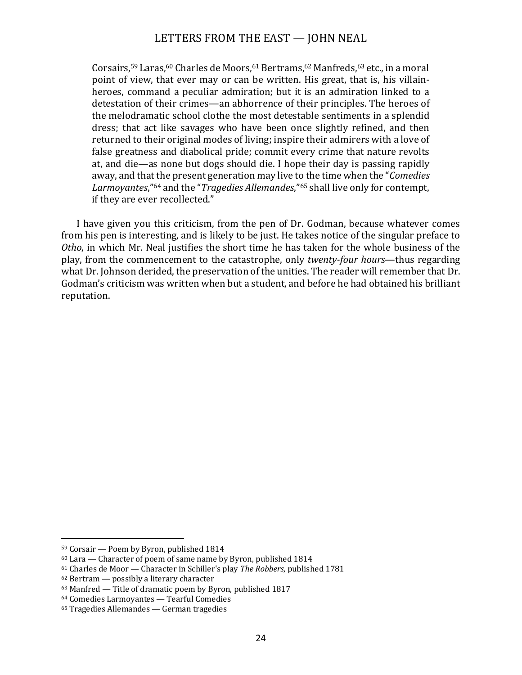Corsairs,<sup>59</sup> Laras,<sup>60</sup> Charles de Moors,<sup>61</sup> Bertrams,<sup>62</sup> Manfreds,<sup>63</sup> etc., in a moral point of view, that ever may or can be written. His great, that is, his villainheroes, command a peculiar admiration; but it is an admiration linked to a detestation of their crimes—an abhorrence of their principles. The heroes of the melodramatic school clothe the most detestable sentiments in a splendid dress; that act like savages who have been once slightly refined, and then returned to their original modes of living; inspire their admirers with a love of false greatness and diabolical pride; commit every crime that nature revolts at, and die—as none but dogs should die. I hope their day is passing rapidly away, and that the present generation may live to the time when the "*Comedies* Larmoyantes,<sup>"64</sup> and the "*Tragedies Allemandes*,"<sup>65</sup> shall live only for contempt, if they are ever recollected."

I have given you this criticism, from the pen of Dr. Godman, because whatever comes from his pen is interesting, and is likely to be just. He takes notice of the singular preface to *Otho*, in which Mr. Neal justifies the short time he has taken for the whole business of the play, from the commencement to the catastrophe, only *twenty-four hours*—thus regarding what Dr. Johnson derided, the preservation of the unities. The reader will remember that Dr. Godman's criticism was written when but a student, and before he had obtained his brilliant reputation.

 $59$  Corsair — Poem by Byron, published  $1814$ 

 $60$  Lara — Character of poem of same name by Byron, published 1814

<sup>&</sup>lt;sup>61</sup> Charles de Moor — Character in Schiller's play *The Robbers*, published 1781

 $62$  Bertram  $-$  possibly a literary character

 $63$  Manfred  $-$  Title of dramatic poem by Byron, published 1817

<sup>&</sup>lt;sup>64</sup> Comedies Larmoyantes — Tearful Comedies

 $65$  Tragedies Allemandes — German tragedies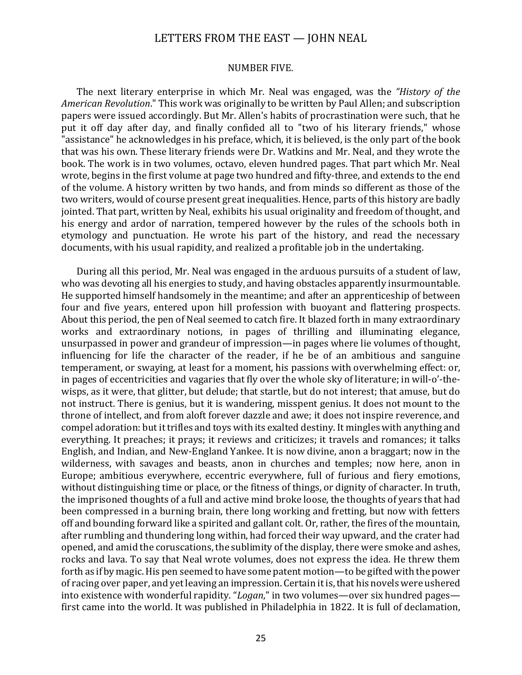#### NUMBER FIVE.

The next literary enterprise in which Mr. Neal was engaged, was the *"History of the American Revolution*." This work was originally to be written by Paul Allen; and subscription papers were issued accordingly. But Mr. Allen's habits of procrastination were such, that he put it off day after day, and finally confided all to "two of his literary friends," whose "assistance" he acknowledges in his preface, which, it is believed, is the only part of the book that was his own. These literary friends were Dr. Watkins and Mr. Neal, and they wrote the book. The work is in two volumes, octavo, eleven hundred pages. That part which Mr. Neal wrote, begins in the first volume at page two hundred and fifty-three, and extends to the end of the volume. A history written by two hands, and from minds so different as those of the two writers, would of course present great inequalities. Hence, parts of this history are badly jointed. That part, written by Neal, exhibits his usual originality and freedom of thought, and his energy and ardor of narration, tempered however by the rules of the schools both in etymology and punctuation. He wrote his part of the history, and read the necessary documents, with his usual rapidity, and realized a profitable job in the undertaking.

During all this period, Mr. Neal was engaged in the arduous pursuits of a student of law, who was devoting all his energies to study, and having obstacles apparently insurmountable. He supported himself handsomely in the meantime; and after an apprenticeship of between four and five years, entered upon hill profession with buoyant and flattering prospects. About this period, the pen of Neal seemed to catch fire. It blazed forth in many extraordinary works and extraordinary notions, in pages of thrilling and illuminating elegance, unsurpassed in power and grandeur of impression—in pages where lie volumes of thought, influencing for life the character of the reader, if he be of an ambitious and sanguine temperament, or swaying, at least for a moment, his passions with overwhelming effect: or, in pages of eccentricities and vagaries that fly over the whole sky of literature; in will-o'-thewisps, as it were, that glitter, but delude; that startle, but do not interest; that amuse, but do not instruct. There is genius, but it is wandering, misspent genius. It does not mount to the throne of intellect, and from aloft forever dazzle and awe; it does not inspire reverence, and compel adoration: but it trifles and toys with its exalted destiny. It mingles with anything and everything. It preaches; it prays; it reviews and criticizes; it travels and romances; it talks English, and Indian, and New-England Yankee. It is now divine, anon a braggart; now in the wilderness, with savages and beasts, anon in churches and temples; now here, anon in Europe; ambitious everywhere, eccentric everywhere, full of furious and fiery emotions, without distinguishing time or place, or the fitness of things, or dignity of character. In truth, the imprisoned thoughts of a full and active mind broke loose, the thoughts of years that had been compressed in a burning brain, there long working and fretting, but now with fetters off and bounding forward like a spirited and gallant colt. Or, rather, the fires of the mountain, after rumbling and thundering long within, had forced their way upward, and the crater had opened, and amid the coruscations, the sublimity of the display, there were smoke and ashes, rocks and lava. To say that Neal wrote volumes, does not express the idea. He threw them forth as if by magic. His pen seemed to have some patent motion—to be gifted with the power of racing over paper, and yet leaving an impression. Certain it is, that his novels were ushered into existence with wonderful rapidity. "Logan," in two volumes—over six hundred pages first came into the world. It was published in Philadelphia in 1822. It is full of declamation,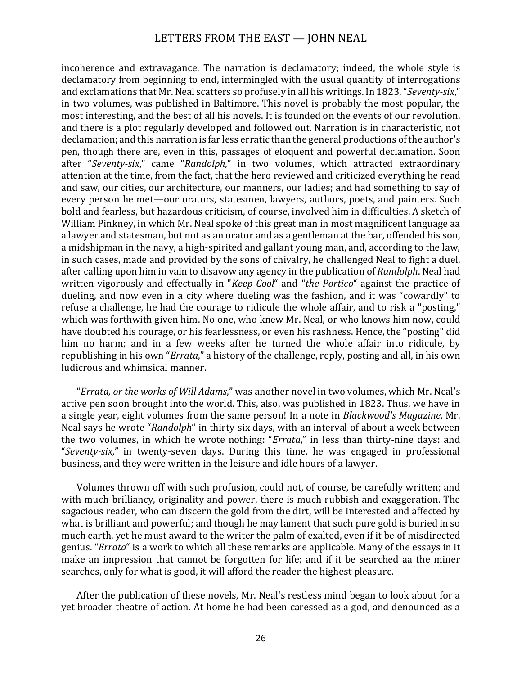incoherence and extravagance. The narration is declamatory; indeed, the whole style is declamatory from beginning to end, intermingled with the usual quantity of interrogations and exclamations that Mr. Neal scatters so profusely in all his writings. In 1823, "*Seventy-six*," in two volumes, was published in Baltimore. This novel is probably the most popular, the most interesting, and the best of all his novels. It is founded on the events of our revolution, and there is a plot regularly developed and followed out. Narration is in characteristic, not declamation; and this narration is far less erratic than the general productions of the author's pen, though there are, even in this, passages of eloquent and powerful declamation. Soon after "*Seventy-six*," came "*Randolph*," in two volumes, which attracted extraordinary attention at the time, from the fact, that the hero reviewed and criticized everything he read and saw, our cities, our architecture, our manners, our ladies; and had something to say of every person he met-our orators, statesmen, lawyers, authors, poets, and painters. Such bold and fearless, but hazardous criticism, of course, involved him in difficulties. A sketch of William Pinkney, in which Mr. Neal spoke of this great man in most magnificent language aa a lawyer and statesman, but not as an orator and as a gentleman at the bar, offended his son, a midshipman in the navy, a high-spirited and gallant young man, and, according to the law, in such cases, made and provided by the sons of chivalry, he challenged Neal to fight a duel, after calling upon him in vain to disavow any agency in the publication of *Randolph*. Neal had written vigorously and effectually in "*Keep Cool*" and "*the Portico*" against the practice of dueling, and now even in a city where dueling was the fashion, and it was "cowardly" to refuse a challenge, he had the courage to ridicule the whole affair, and to risk a "posting," which was forthwith given him. No one, who knew Mr. Neal, or who knows him now. could have doubted his courage, or his fearlessness, or even his rashness. Hence, the "posting" did him no harm; and in a few weeks after he turned the whole affair into ridicule, by republishing in his own "*Errata*," a history of the challenge, reply, posting and all, in his own ludicrous and whimsical manner.

"*Errata, or the works of Will Adams*," was another novel in two volumes, which Mr. Neal's active pen soon brought into the world. This, also, was published in 1823. Thus, we have in a single year, eight volumes from the same person! In a note in *Blackwood's Magazine*, Mr. Neal says he wrote "*Randolph*" in thirty-six days, with an interval of about a week between the two volumes, in which he wrote nothing: "*Errata*," in less than thirty-nine days: and "*Seventy-six*," in twenty-seven days. During this time, he was engaged in professional business, and they were written in the leisure and idle hours of a lawyer.

Volumes thrown off with such profusion, could not, of course, be carefully written; and with much brilliancy, originality and power, there is much rubbish and exaggeration. The sagacious reader, who can discern the gold from the dirt, will be interested and affected by what is brilliant and powerful; and though he may lament that such pure gold is buried in so much earth, vet he must award to the writer the palm of exalted, even if it be of misdirected genius. "*Errata*" is a work to which all these remarks are applicable. Many of the essays in it make an impression that cannot be forgotten for life; and if it be searched aa the miner searches, only for what is good, it will afford the reader the highest pleasure.

After the publication of these novels, Mr. Neal's restless mind began to look about for a yet broader theatre of action. At home he had been caressed as a god, and denounced as a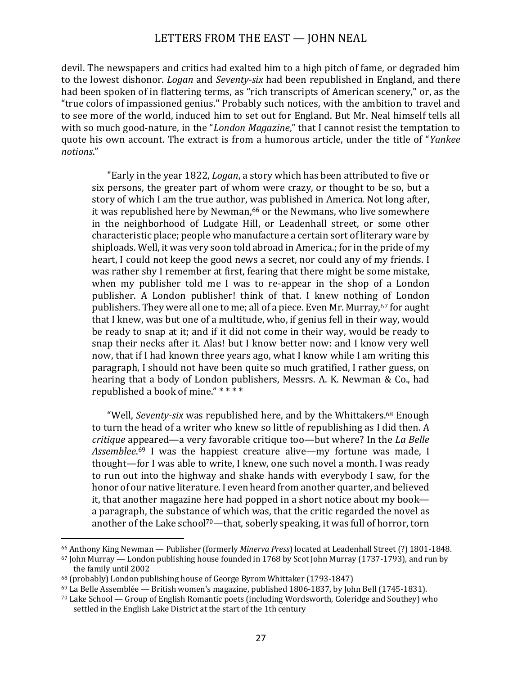devil. The newspapers and critics had exalted him to a high pitch of fame, or degraded him to the lowest dishonor. *Logan* and *Seventy-six* had been republished in England, and there had been spoken of in flattering terms, as "rich transcripts of American scenery," or, as the "true colors of impassioned genius." Probably such notices, with the ambition to travel and to see more of the world, induced him to set out for England. But Mr. Neal himself tells all with so much good-nature, in the "*London Magazine*," that I cannot resist the temptation to quote his own account. The extract is from a humorous article, under the title of "*Yankee notions*."

"Early in the year 1822, *Logan*, a story which has been attributed to five or six persons, the greater part of whom were crazy, or thought to be so, but a story of which I am the true author, was published in America. Not long after, it was republished here by Newman, $66$  or the Newmans, who live somewhere in the neighborhood of Ludgate Hill, or Leadenhall street, or some other characteristic place; people who manufacture a certain sort of literary ware by shiploads. Well, it was very soon told abroad in America.; for in the pride of my heart, I could not keep the good news a secret, nor could any of my friends. I was rather shy I remember at first, fearing that there might be some mistake, when my publisher told me I was to re-appear in the shop of a London publisher. A London publisher! think of that. I knew nothing of London publishers. They were all one to me; all of a piece. Even Mr. Murray, <sup>67</sup> for aught that I knew, was but one of a multitude, who, if genius fell in their way, would be ready to snap at it; and if it did not come in their way, would be ready to snap their necks after it. Alas! but I know better now: and I know very well now, that if I had known three years ago, what I know while I am writing this paragraph, I should not have been quite so much gratified, I rather guess, on hearing that a body of London publishers, Messrs. A. K. Newman & Co., had republished a book of mine." \*\*\*\*

"Well, *Seventy-six* was republished here, and by the Whittakers.<sup>68</sup> Enough to turn the head of a writer who knew so little of republishing as I did then. A *critique* appeared—a very favorable critique too—but where? In the *La Belle* Assemblee.<sup>69</sup> I was the happiest creature alive—my fortune was made, I thought—for I was able to write, I knew, one such novel a month. I was ready to run out into the highway and shake hands with everybody I saw, for the honor of our native literature. I even heard from another quarter, and believed it, that another magazine here had popped in a short notice about my book a paragraph, the substance of which was, that the critic regarded the novel as another of the Lake school<sup>70</sup>—that, soberly speaking, it was full of horror, torn

<sup>&</sup>lt;sup>66</sup> Anthony King Newman — Publisher (formerly *Minerva Press*) located at Leadenhall Street (?) 1801-1848.

 $67$  John Murray — London publishing house founded in 1768 by Scot John Murray (1737-1793), and run by the family until 2002

 $68$  (probably) London publishing house of George Byrom Whittaker (1793-1847)

 $^{69}$  La Belle Assemblée — British women's magazine, published 1806-1837, by John Bell (1745-1831).

 $70$  Lake School — Group of English Romantic poets (including Wordsworth, Coleridge and Southey) who settled in the English Lake District at the start of the 1th century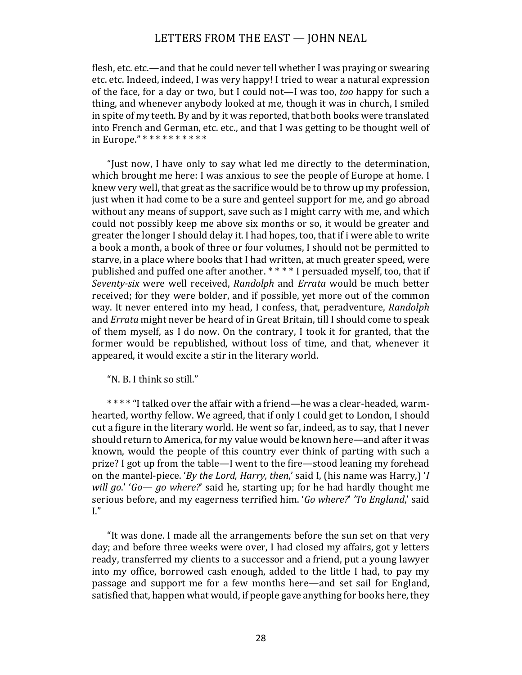flesh, etc. etc.—and that he could never tell whether I was praying or swearing etc. etc. Indeed, indeed, I was very happy! I tried to wear a natural expression of the face, for a day or two, but I could not—I was too, *too* happy for such a thing, and whenever anybody looked at me, though it was in church, I smiled in spite of my teeth. By and by it was reported, that both books were translated into French and German, etc. etc., and that I was getting to be thought well of in Europe." \*\*\*\*\*\*\*\*\*\*\*

"Just now, I have only to say what led me directly to the determination, which brought me here: I was anxious to see the people of Europe at home. I knew very well, that great as the sacrifice would be to throw up my profession, just when it had come to be a sure and genteel support for me, and go abroad without any means of support, save such as I might carry with me, and which could not possibly keep me above six months or so, it would be greater and greater the longer I should delay it. I had hopes, too, that if i were able to write a book a month, a book of three or four volumes, I should not be permitted to starve, in a place where books that I had written, at much greater speed, were published and puffed one after another. \*\*\*\* I persuaded myself, too, that if *Seventy-six* were well received, *Randolph* and *Errata* would be much better received; for they were bolder, and if possible, yet more out of the common way. It never entered into my head, I confess, that, peradventure, *Randolph* and *Errata* might never be heard of in Great Britain, till I should come to speak of them myself, as I do now. On the contrary, I took it for granted, that the former would be republished, without loss of time, and that, whenever it appeared, it would excite a stir in the literary world.

"N. B. I think so still."

\*\*\*\* "I talked over the affair with a friend—he was a clear-headed, warmhearted, worthy fellow. We agreed, that if only I could get to London, I should cut a figure in the literary world. He went so far, indeed, as to say, that I never should return to America, for my value would be known here—and after it was known, would the people of this country ever think of parting with such a prize? I got up from the table—I went to the fire—stood leaning my forehead on the mantel-piece. *'By the Lord, Harry, then*,' said I, (his name was Harry,) *'I will go.'* '*Go— go where?'* said he, starting up; for he had hardly thought me serious before, and my eagerness terrified him. '*Go where?'* 'To England,' said  $\mathrm{L}^{\prime\prime}$ 

"It was done. I made all the arrangements before the sun set on that very day; and before three weeks were over, I had closed my affairs, got y letters ready, transferred my clients to a successor and a friend, put a young lawyer into my office, borrowed cash enough, added to the little I had, to pay my passage and support me for a few months here—and set sail for England, satisfied that, happen what would, if people gave anything for books here, they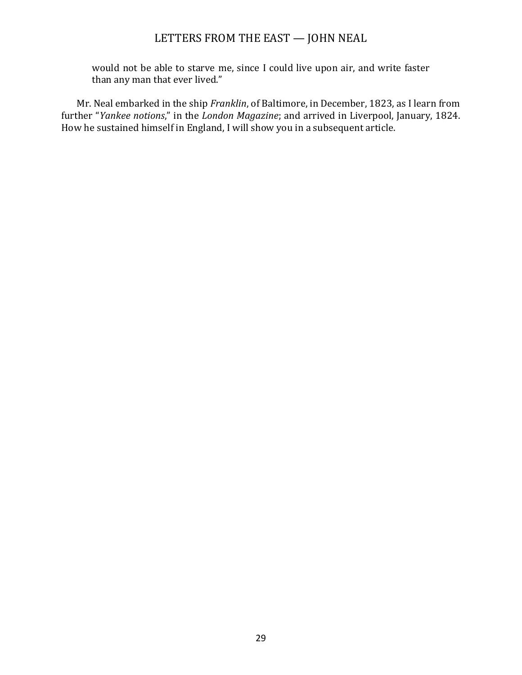would not be able to starve me, since I could live upon air, and write faster than any man that ever lived."

Mr. Neal embarked in the ship *Franklin*, of Baltimore, in December, 1823, as I learn from further "*Yankee notions*," in the *London Magazine*; and arrived in Liverpool, January, 1824. How he sustained himself in England, I will show you in a subsequent article.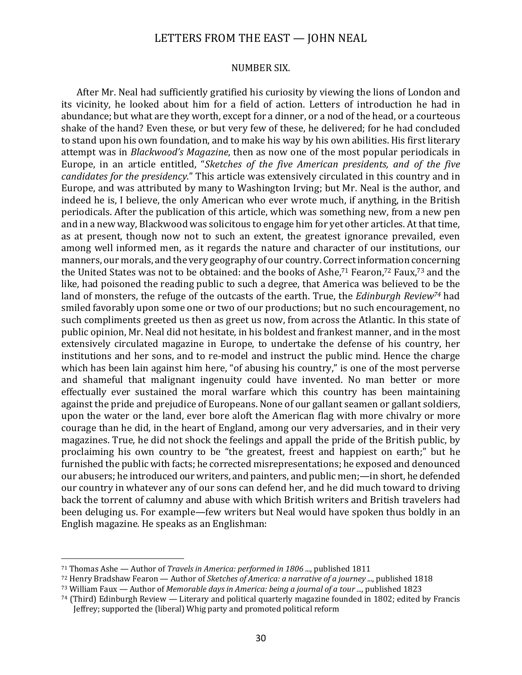#### NUMBER SIX.

After Mr. Neal had sufficiently gratified his curiosity by viewing the lions of London and its vicinity, he looked about him for a field of action. Letters of introduction he had in abundance; but what are they worth, except for a dinner, or a nod of the head, or a courteous shake of the hand? Even these, or but very few of these, he delivered; for he had concluded to stand upon his own foundation, and to make his way by his own abilities. His first literary attempt was in *Blackwood's Magazine*, then as now one of the most popular periodicals in Europe, in an article entitled, "*Sketches of the five American presidents, and of the five candidates for the presidency.*" This article was extensively circulated in this country and in Europe, and was attributed by many to Washington Irving; but Mr. Neal is the author, and indeed he is, I believe, the only American who ever wrote much, if anything, in the British periodicals. After the publication of this article, which was something new, from a new pen and in a new way, Blackwood was solicitous to engage him for yet other articles. At that time, as at present, though now not to such an extent, the greatest ignorance prevailed, even among well informed men, as it regards the nature and character of our institutions, our manners, our morals, and the very geography of our country. Correct information concerning the United States was not to be obtained: and the books of Ashe,<sup>71</sup> Fearon,<sup>72</sup> Faux,<sup>73</sup> and the like, had poisoned the reading public to such a degree, that America was believed to be the land of monsters, the refuge of the outcasts of the earth. True, the *Edinburgh Review*<sup>74</sup> had smiled favorably upon some one or two of our productions; but no such encouragement, no such compliments greeted us then as greet us now, from across the Atlantic. In this state of public opinion, Mr. Neal did not hesitate, in his boldest and frankest manner, and in the most extensively circulated magazine in Europe, to undertake the defense of his country, her institutions and her sons, and to re-model and instruct the public mind. Hence the charge which has been lain against him here, "of abusing his country," is one of the most perverse and shameful that malignant ingenuity could have invented. No man better or more effectually ever sustained the moral warfare which this country has been maintaining against the pride and prejudice of Europeans. None of our gallant seamen or gallant soldiers, upon the water or the land, ever bore aloft the American flag with more chivalry or more courage than he did, in the heart of England, among our very adversaries, and in their very magazines. True, he did not shock the feelings and appall the pride of the British public, by proclaiming his own country to be "the greatest, freest and happiest on earth;" but he furnished the public with facts; he corrected misrepresentations; he exposed and denounced our abusers; he introduced our writers, and painters, and public men;—in short, he defended our country in whatever any of our sons can defend her, and he did much toward to driving back the torrent of calumny and abuse with which British writers and British travelers had been deluging us. For example—few writers but Neal would have spoken thus boldly in an English magazine. He speaks as an Englishman:

<sup>&</sup>lt;sup>71</sup> Thomas Ashe — Author of *Travels in America: performed in 1806 ...*, published 1811

<sup>72</sup> Henry Bradshaw Fearon — Author of *Sketches of America: a narrative of a journey ...*, published 1818

<sup>73</sup> William Faux — Author of *Memorable days in America: being a journal of a tour ...,* published 1823

 $74$  (Third) Edinburgh Review — Literary and political quarterly magazine founded in 1802; edited by Francis Jeffrey; supported the (liberal) Whig party and promoted political reform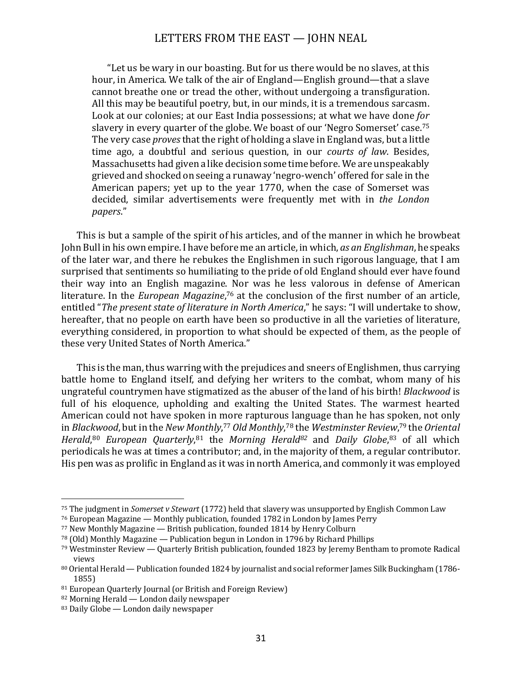"Let us be wary in our boasting. But for us there would be no slaves, at this hour, in America. We talk of the air of England—English ground—that a slave cannot breathe one or tread the other, without undergoing a transfiguration. All this may be beautiful poetry, but, in our minds, it is a tremendous sarcasm. Look at our colonies; at our East India possessions; at what we have done for slavery in every quarter of the globe. We boast of our 'Negro Somerset' case.<sup>75</sup> The very case *proves* that the right of holding a slave in England was, but a little time ago, a doubtful and serious question, in our *courts of law*. Besides, Massachusetts had given a like decision some time before. We are unspeakably grieved and shocked on seeing a runaway 'negro-wench' offered for sale in the American papers; yet up to the year 1770, when the case of Somerset was decided, similar advertisements were frequently met with in *the London papers*."

This is but a sample of the spirit of his articles, and of the manner in which he browbeat John Bull in his own empire. I have before me an article, in which, *as an Englishman*, he speaks of the later war, and there he rebukes the Englishmen in such rigorous language, that I am surprised that sentiments so humiliating to the pride of old England should ever have found their way into an English magazine. Nor was he less valorous in defense of American literature. In the *European Magazine*,<sup>76</sup> at the conclusion of the first number of an article, entitled "*The present state of literature in North America*," he says: "I will undertake to show, hereafter, that no people on earth have been so productive in all the varieties of literature. everything considered, in proportion to what should be expected of them, as the people of these very United States of North America."

This is the man, thus warring with the prejudices and sneers of Englishmen, thus carrying battle home to England itself, and defying her writers to the combat, whom many of his ungrateful countrymen have stigmatized as the abuser of the land of his birth! *Blackwood* is full of his eloquence, upholding and exalting the United States. The warmest hearted American could not have spoken in more rapturous language than he has spoken, not only in *Blackwood*, but in the New Monthly,<sup>77</sup> Old Monthly,<sup>78</sup> the Westminster Review,<sup>79</sup> the Oriental *Herald*,<sup>80</sup> *European Quarterly*,<sup>81</sup> the *Morning Herald<sup>82</sup> and Daily Globe*,<sup>83</sup> of all which periodicals he was at times a contributor; and, in the majority of them, a regular contributor. His pen was as prolific in England as it was in north America, and commonly it was employed

<sup>&</sup>lt;sup>75</sup> The judgment in *Somerset v Stewart* (1772) held that slavery was unsupported by English Common Law

 $76$  European Magazine — Monthly publication, founded 1782 in London by James Perry

 $77$  New Monthly Magazine  $-$  British publication, founded 1814 by Henry Colburn

 $78$  (Old) Monthly Magazine — Publication begun in London in 1796 by Richard Phillips

 $79$  Westminster Review — Quarterly British publication, founded 1823 by Jeremy Bentham to promote Radical views

<sup>80</sup> Oriental Herald — Publication founded 1824 by journalist and social reformer James Silk Buckingham (1786-1855)

 $81$  European Quarterly Journal (or British and Foreign Review)

 $82$  Morning Herald — London daily newspaper

 $83$  Daily Globe — London daily newspaper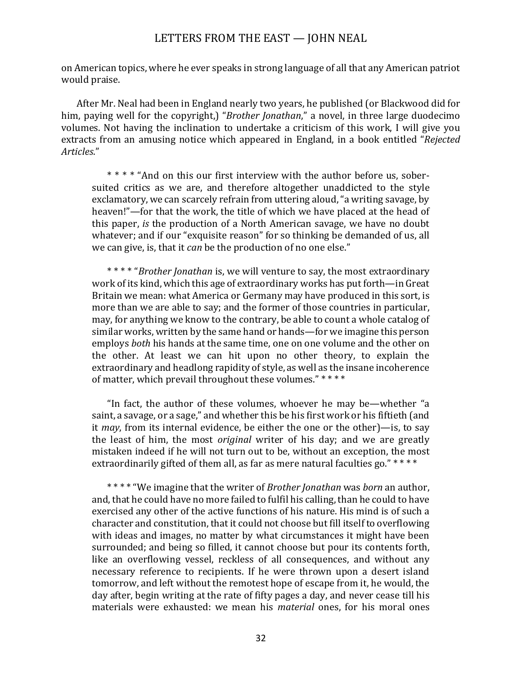on American topics, where he ever speaks in strong language of all that any American patriot would praise.

After Mr. Neal had been in England nearly two years, he published (or Blackwood did for him, paying well for the copyright,) "*Brother Jonathan*," a novel, in three large duodecimo volumes. Not having the inclination to undertake a criticism of this work. I will give you extracts from an amusing notice which appeared in England, in a book entitled "*Rejected Articles*."

\*\*\*\* "And on this our first interview with the author before us, sobersuited critics as we are, and therefore altogether unaddicted to the style exclamatory, we can scarcely refrain from uttering aloud, "a writing savage, by heaven!"—for that the work, the title of which we have placed at the head of this paper, *is* the production of a North American savage, we have no doubt whatever; and if our "exquisite reason" for so thinking be demanded of us, all we can give, is, that it *can* be the production of no one else."

\*\*\*\* "*Brother Jonathan* is, we will venture to say, the most extraordinary work of its kind, which this age of extraordinary works has put forth—in Great Britain we mean: what America or Germany may have produced in this sort, is more than we are able to say; and the former of those countries in particular, may, for anything we know to the contrary, be able to count a whole catalog of similar works, written by the same hand or hands—for we imagine this person employs *both* his hands at the same time, one on one volume and the other on the other. At least we can hit upon no other theory, to explain the extraordinary and headlong rapidity of style, as well as the insane incoherence of matter, which prevail throughout these volumes." \*\*\*\*

"In fact, the author of these volumes, whoever he may be—whether "a saint, a savage, or a sage," and whether this be his first work or his fiftieth (and it *may*, from its internal evidence, be either the one or the other)—is, to say the least of him, the most *original* writer of his day; and we are greatly mistaken indeed if he will not turn out to be, without an exception, the most extraordinarily gifted of them all, as far as mere natural faculties go." \*\*\*\*

\*\*\*\* "We imagine that the writer of *Brother Jonathan* was *born* an author, and, that he could have no more failed to fulfil his calling, than he could to have exercised any other of the active functions of his nature. His mind is of such a character and constitution, that it could not choose but fill itself to overflowing with ideas and images, no matter by what circumstances it might have been surrounded; and being so filled, it cannot choose but pour its contents forth, like an overflowing vessel, reckless of all consequences, and without any necessary reference to recipients. If he were thrown upon a desert island tomorrow, and left without the remotest hope of escape from it, he would, the day after, begin writing at the rate of fifty pages a day, and never cease till his materials were exhausted: we mean his *material* ones, for his moral ones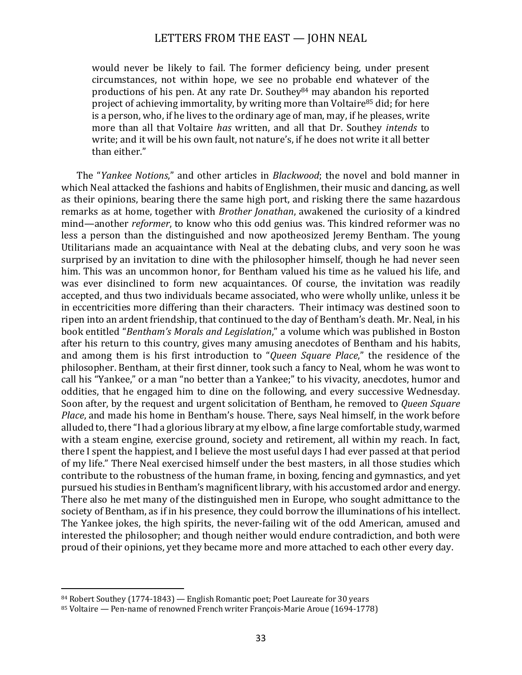would never be likely to fail. The former deficiency being, under present circumstances, not within hope, we see no probable end whatever of the productions of his pen. At any rate Dr. Southey<sup>84</sup> may abandon his reported project of achieving immortality, by writing more than Voltaire<sup>85</sup> did; for here is a person, who, if he lives to the ordinary age of man, may, if he pleases, write more than all that Voltaire *has* written, and all that Dr. Southey *intends* to write; and it will be his own fault, not nature's, if he does not write it all better than either."

The "*Yankee Notions*," and other articles in *Blackwood*; the novel and bold manner in which Neal attacked the fashions and habits of Englishmen, their music and dancing, as well as their opinions, bearing there the same high port, and risking there the same hazardous remarks as at home, together with *Brother Jonathan*, awakened the curiosity of a kindred mind—another *reformer*, to know who this odd genius was. This kindred reformer was no less a person than the distinguished and now apotheosized Jeremy Bentham. The young Utilitarians made an acquaintance with Neal at the debating clubs, and very soon he was surprised by an invitation to dine with the philosopher himself, though he had never seen him. This was an uncommon honor, for Bentham valued his time as he valued his life, and was ever disinclined to form new acquaintances. Of course, the invitation was readily accepted, and thus two individuals became associated, who were wholly unlike, unless it be in eccentricities more differing than their characters. Their intimacy was destined soon to ripen into an ardent friendship, that continued to the day of Bentham's death. Mr. Neal, in his book entitled "*Bentham's Morals and Legislation*," a volume which was published in Boston after his return to this country, gives many amusing anecdotes of Bentham and his habits, and among them is his first introduction to "*Queen Square Place*," the residence of the philosopher. Bentham, at their first dinner, took such a fancy to Neal, whom he was wont to call his "Yankee," or a man "no better than a Yankee;" to his vivacity, anecdotes, humor and oddities, that he engaged him to dine on the following, and every successive Wednesday. Soon after, by the request and urgent solicitation of Bentham, he removed to *Queen Square Place*, and made his home in Bentham's house. There, says Neal himself, in the work before alluded to, there "I had a glorious library at my elbow, a fine large comfortable study, warmed with a steam engine, exercise ground, society and retirement, all within my reach. In fact, there I spent the happiest, and I believe the most useful days I had ever passed at that period of my life." There Neal exercised himself under the best masters, in all those studies which contribute to the robustness of the human frame, in boxing, fencing and gymnastics, and yet pursued his studies in Bentham's magnificent library, with his accustomed ardor and energy. There also he met many of the distinguished men in Europe, who sought admittance to the society of Bentham, as if in his presence, they could borrow the illuminations of his intellect. The Yankee jokes, the high spirits, the never-failing wit of the odd American, amused and interested the philosopher; and though neither would endure contradiction, and both were proud of their opinions, yet they became more and more attached to each other every day.

 $84$  Robert Southey (1774-1843) — English Romantic poet; Poet Laureate for 30 years

<sup>85</sup> Voltaire — Pen-name of renowned French writer François-Marie Aroue (1694-1778)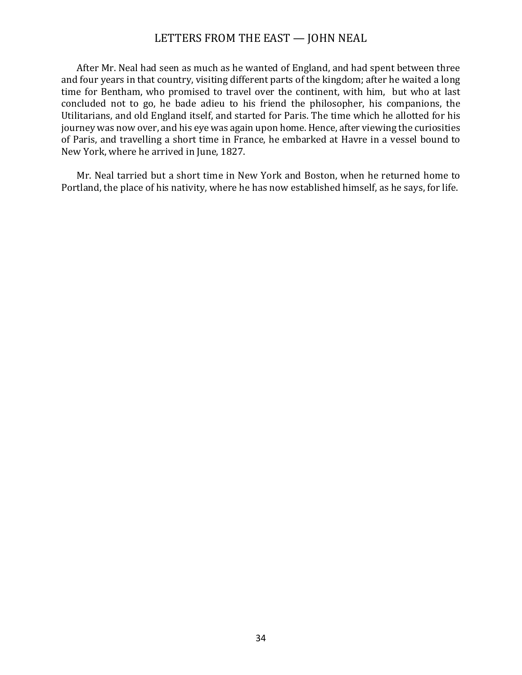After Mr. Neal had seen as much as he wanted of England, and had spent between three and four years in that country, visiting different parts of the kingdom; after he waited a long time for Bentham, who promised to travel over the continent, with him, but who at last concluded not to go, he bade adieu to his friend the philosopher, his companions, the Utilitarians, and old England itself, and started for Paris. The time which he allotted for his journey was now over, and his eye was again upon home. Hence, after viewing the curiosities of Paris, and travelling a short time in France, he embarked at Havre in a vessel bound to New York, where he arrived in June, 1827.

Mr. Neal tarried but a short time in New York and Boston, when he returned home to Portland, the place of his nativity, where he has now established himself, as he says, for life.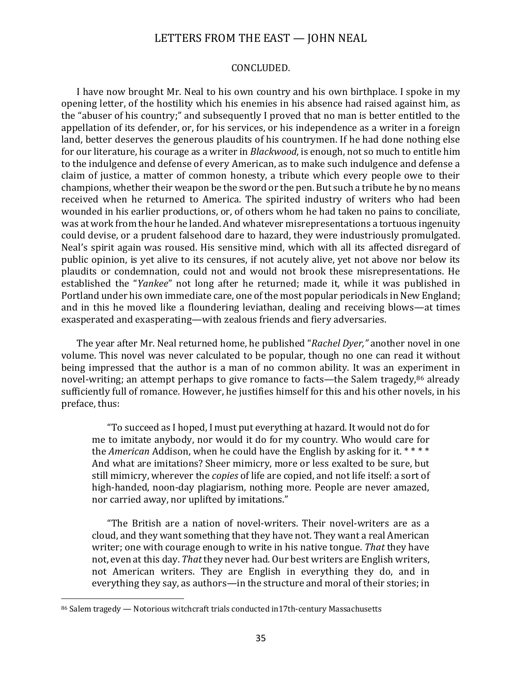#### CONCLUDED.

I have now brought Mr. Neal to his own country and his own birthplace. I spoke in my opening letter, of the hostility which his enemies in his absence had raised against him, as the "abuser of his country;" and subsequently I proved that no man is better entitled to the appellation of its defender, or, for his services, or his independence as a writer in a foreign land, better deserves the generous plaudits of his countrymen. If he had done nothing else for our literature, his courage as a writer in *Blackwood*, is enough, not so much to entitle him to the indulgence and defense of every American, as to make such indulgence and defense a claim of justice, a matter of common honesty, a tribute which every people owe to their champions, whether their weapon be the sword or the pen. But such a tribute he by no means received when he returned to America. The spirited industry of writers who had been wounded in his earlier productions, or, of others whom he had taken no pains to conciliate, was at work from the hour he landed. And whatever misrepresentations a tortuous ingenuity could devise, or a prudent falsehood dare to hazard, they were industriously promulgated. Neal's spirit again was roused. His sensitive mind, which with all its affected disregard of public opinion, is yet alive to its censures, if not acutely alive, yet not above nor below its plaudits or condemnation, could not and would not brook these misrepresentations. He established the "*Yankee*" not long after he returned; made it, while it was published in Portland under his own immediate care, one of the most popular periodicals in New England; and in this he moved like a floundering leviathan, dealing and receiving blows—at times exasperated and exasperating—with zealous friends and fiery adversaries.

The year after Mr. Neal returned home, he published "*Rachel Dyer*," another novel in one volume. This novel was never calculated to be popular, though no one can read it without being impressed that the author is a man of no common ability. It was an experiment in novel-writing; an attempt perhaps to give romance to facts—the Salem tragedy,<sup>86</sup> already sufficiently full of romance. However, he justifies himself for this and his other novels, in his preface, thus:

"To succeed as I hoped, I must put everything at hazard. It would not do for me to imitate anybody, nor would it do for my country. Who would care for the *American* Addison, when he could have the English by asking for it.  $***$ And what are imitations? Sheer mimicry, more or less exalted to be sure, but still mimicry, wherever the *copies* of life are copied, and not life itself: a sort of high-handed, noon-day plagiarism, nothing more. People are never amazed, nor carried away, nor uplifted by imitations."

"The British are a nation of novel-writers. Their novel-writers are as a cloud, and they want something that they have not. They want a real American writer; one with courage enough to write in his native tongue. That they have not, even at this day. *That* they never had. Our best writers are English writers, not American writers. They are English in everything they do, and in everything they say, as authors—in the structure and moral of their stories; in

<sup>86</sup> Salem tragedy - Notorious witchcraft trials conducted in17th-century Massachusetts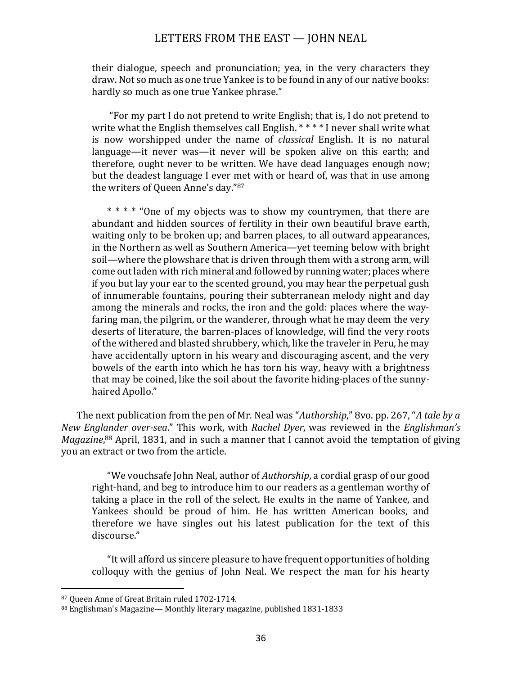their dialogue, speech and pronunciation; yea, in the very characters they draw. Not so much as one true Yankee is to be found in any of our native books: hardly so much as one true Yankee phrase."

"For my part I do not pretend to write English; that is, I do not pretend to write what the English themselves call English.  $****$  I never shall write what is now worshipped under the name of *classical* English. It is no natural language—it never was—it never will be spoken alive on this earth; and therefore, ought never to be written. We have dead languages enough now; but the deadest language I ever met with or heard of, was that in use among the writers of Queen Anne's day."87

\* \* \* \* "One of my objects was to show my countrymen, that there are abundant and hidden sources of fertility in their own beautiful brave earth, waiting only to be broken up; and barren places, to all outward appearances, in the Northern as well as Southern America—yet teeming below with bright soil—where the plowshare that is driven through them with a strong arm, will come out laden with rich mineral and followed by running water; places where if you but lay your ear to the scented ground, you may hear the perpetual gush of innumerable fountains, pouring their subterranean melody night and day among the minerals and rocks, the iron and the gold: places where the wayfaring man, the pilgrim, or the wanderer, through what he may deem the very deserts of literature, the barren-places of knowledge, will find the very roots of the withered and blasted shrubbery, which, like the traveler in Peru, he may have accidentally uptorn in his weary and discouraging ascent, and the very bowels of the earth into which he has torn his way, heavy with a brightness that may be coined, like the soil about the favorite hiding-places of the sunnyhaired Apollo."

The next publication from the pen of Mr. Neal was "*Authorship*," 8vo. pp. 267, "*A tale by a New Englander over-sea.*" This work, with *Rachel Dyer*, was reviewed in the *Englishman's* Magazine,<sup>88</sup> April, 1831, and in such a manner that I cannot avoid the temptation of giving you an extract or two from the article.

"We vouchsafe John Neal, author of *Authorship*, a cordial grasp of our good right-hand, and beg to introduce him to our readers as a gentleman worthy of taking a place in the roll of the select. He exults in the name of Yankee, and Yankees should be proud of him. He has written American books, and therefore we have singles out his latest publication for the text of this discourse."

"It will afford us sincere pleasure to have frequent opportunities of holding colloquy with the genius of John Neal. We respect the man for his hearty

<sup>87</sup> Queen Anne of Great Britain ruled 1702-1714.

<sup>88</sup> Englishman's Magazine— Monthly literary magazine, published 1831-1833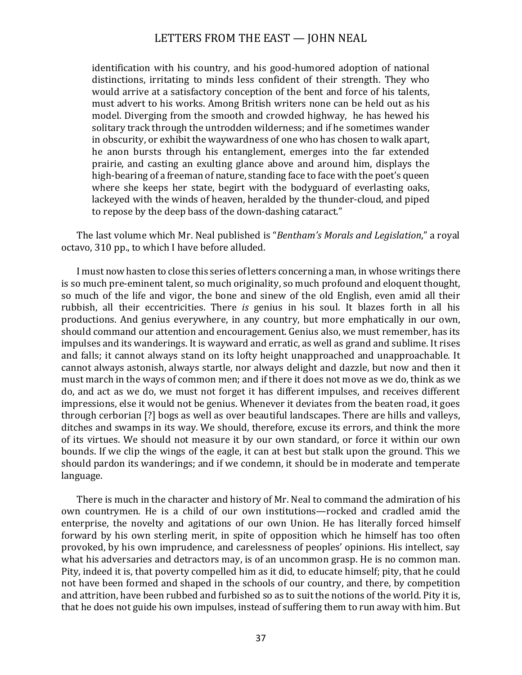identification with his country, and his good-humored adoption of national distinctions, irritating to minds less confident of their strength. They who would arrive at a satisfactory conception of the bent and force of his talents, must advert to his works. Among British writers none can be held out as his model. Diverging from the smooth and crowded highway, he has hewed his solitary track through the untrodden wilderness; and if he sometimes wander in obscurity, or exhibit the waywardness of one who has chosen to walk apart, he anon bursts through his entanglement, emerges into the far extended prairie, and casting an exulting glance above and around him, displays the high-bearing of a freeman of nature, standing face to face with the poet's queen where she keeps her state, begirt with the bodyguard of everlasting oaks, lackeyed with the winds of heaven, heralded by the thunder-cloud, and piped to repose by the deep bass of the down-dashing cataract."

The last volume which Mr. Neal published is "*Bentham's Morals and Legislation*," a royal octavo, 310 pp., to which I have before alluded.

I must now hasten to close this series of letters concerning a man, in whose writings there is so much pre-eminent talent, so much originality, so much profound and eloquent thought, so much of the life and vigor, the bone and sinew of the old English, even amid all their rubbish, all their eccentricities. There *is* genius in his soul. It blazes forth in all his productions. And genius everywhere, in any country, but more emphatically in our own, should command our attention and encouragement. Genius also, we must remember, has its impulses and its wanderings. It is wayward and erratic, as well as grand and sublime. It rises and falls; it cannot always stand on its lofty height unapproached and unapproachable. It cannot always astonish, always startle, nor always delight and dazzle, but now and then it must march in the ways of common men; and if there it does not move as we do, think as we do, and act as we do, we must not forget it has different impulses, and receives different impressions, else it would not be genius. Whenever it deviates from the beaten road, it goes through cerborian [?] bogs as well as over beautiful landscapes. There are hills and valleys, ditches and swamps in its way. We should, therefore, excuse its errors, and think the more of its virtues. We should not measure it by our own standard, or force it within our own bounds. If we clip the wings of the eagle, it can at best but stalk upon the ground. This we should pardon its wanderings; and if we condemn, it should be in moderate and temperate language.

There is much in the character and history of Mr. Neal to command the admiration of his own countrymen. He is a child of our own institutions—rocked and cradled amid the enterprise, the novelty and agitations of our own Union. He has literally forced himself forward by his own sterling merit, in spite of opposition which he himself has too often provoked, by his own imprudence, and carelessness of peoples' opinions. His intellect, say what his adversaries and detractors may, is of an uncommon grasp. He is no common man. Pity, indeed it is, that poverty compelled him as it did, to educate himself; pity, that he could not have been formed and shaped in the schools of our country, and there, by competition and attrition, have been rubbed and furbished so as to suit the notions of the world. Pity it is, that he does not guide his own impulses, instead of suffering them to run away with him. But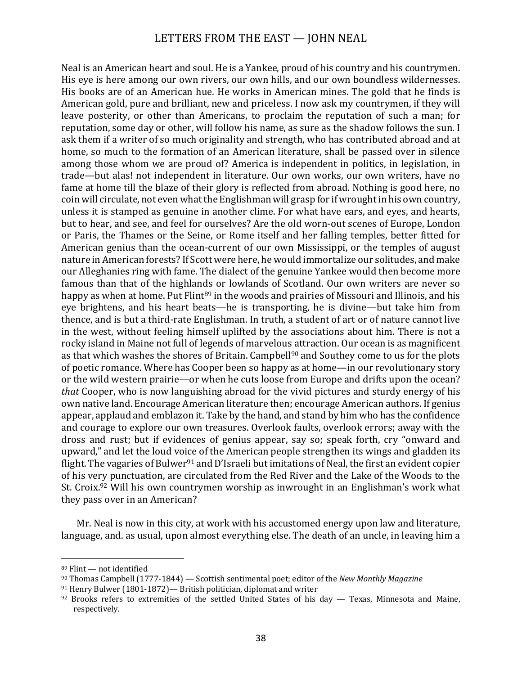Neal is an American heart and soul. He is a Yankee, proud of his country and his countrymen. His eye is here among our own rivers, our own hills, and our own boundless wildernesses. His books are of an American hue. He works in American mines. The gold that he finds is American gold, pure and brilliant, new and priceless. I now ask my countrymen, if they will leave posterity, or other than Americans, to proclaim the reputation of such a man; for reputation, some day or other, will follow his name, as sure as the shadow follows the sun. I ask them if a writer of so much originality and strength, who has contributed abroad and at home, so much to the formation of an American literature, shall be passed over in silence among those whom we are proud of? America is independent in politics, in legislation, in trade—but alas! not independent in literature. Our own works, our own writers, have no fame at home till the blaze of their glory is reflected from abroad. Nothing is good here, no coin will circulate, not even what the Englishman will grasp for if wrought in his own country, unless it is stamped as genuine in another clime. For what have ears, and eves, and hearts, but to hear, and see, and feel for ourselves? Are the old worn-out scenes of Europe, London or Paris, the Thames or the Seine, or Rome itself and her falling temples, better fitted for American genius than the ocean-current of our own Mississippi, or the temples of august nature in American forests? If Scott were here, he would immortalize our solitudes, and make our Alleghanies ring with fame. The dialect of the genuine Yankee would then become more famous than that of the highlands or lowlands of Scotland. Our own writers are never so happy as when at home. Put Flint<sup>89</sup> in the woods and prairies of Missouri and Illinois, and his eye brightens, and his heart beats—he is transporting, he is divine—but take him from thence, and is but a third-rate Englishman. In truth, a student of art or of nature cannot live in the west, without feeling himself uplifted by the associations about him. There is not a rocky island in Maine not full of legends of marvelous attraction. Our ocean is as magnificent as that which washes the shores of Britain. Campbell<sup>90</sup> and Southey come to us for the plots of poetic romance. Where has Cooper been so happy as at home—in our revolutionary story or the wild western prairie—or when he cuts loose from Europe and drifts upon the ocean? *that* Cooper, who is now languishing abroad for the vivid pictures and sturdy energy of his own native land. Encourage American literature then; encourage American authors. If genius appear, applaud and emblazon it. Take by the hand, and stand by him who has the confidence and courage to explore our own treasures. Overlook faults, overlook errors; away with the dross and rust; but if evidences of genius appear, say so; speak forth, cry "onward and upward," and let the loud voice of the American people strengthen its wings and gladden its flight. The vagaries of Bulwer<sup>91</sup> and D'Israeli but imitations of Neal, the first an evident copier of his very punctuation, are circulated from the Red River and the Lake of the Woods to the St. Croix.<sup>92</sup> Will his own countrymen worship as inwrought in an Englishman's work what they pass over in an American?

Mr. Neal is now in this city, at work with his accustomed energy upon law and literature, language, and. as usual, upon almost everything else. The death of an uncle, in leaving him a

 $89$  Flint  $-$  not identified

<sup>&</sup>lt;sup>90</sup> Thomas Campbell (1777-1844) — Scottish sentimental poet; editor of the *New Monthly Magazine* 

 $91$  Henry Bulwer (1801-1872)— British politician, diplomat and writer

 $92$  Brooks refers to extremities of the settled United States of his day — Texas, Minnesota and Maine, respectively.